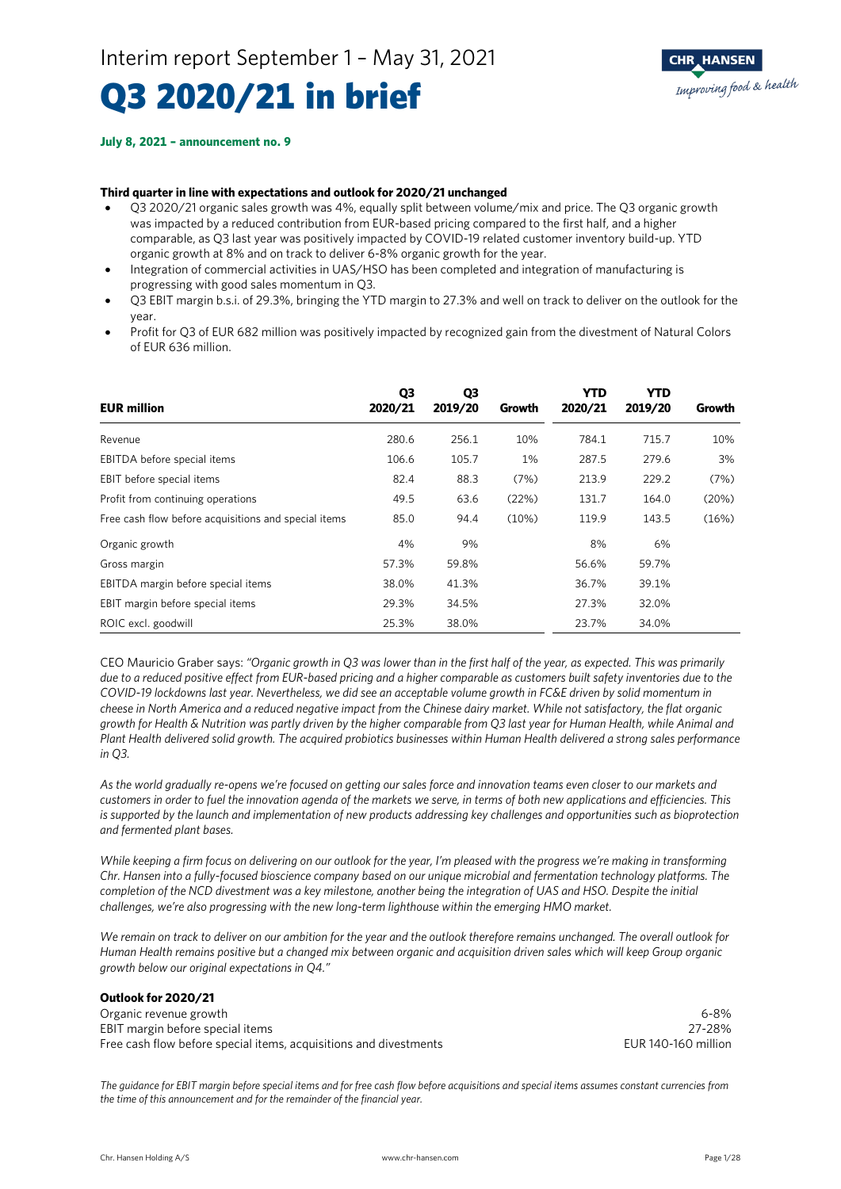# Q3 2020/21 in brief

#### **July 8, 2021 – announcement no. 9**

#### **Third quarter in line with expectations and outlook for 2020/21 unchanged**

- Q3 2020/21 organic sales growth was 4%, equally split between volume/mix and price. The Q3 organic growth was impacted by a reduced contribution from EUR-based pricing compared to the first half, and a higher comparable, as Q3 last year was positively impacted by COVID-19 related customer inventory build-up. YTD organic growth at 8% and on track to deliver 6-8% organic growth for the year.
- Integration of commercial activities in UAS/HSO has been completed and integration of manufacturing is progressing with good sales momentum in Q3.
- Q3 EBIT margin b.s.i. of 29.3%, bringing the YTD margin to 27.3% and well on track to deliver on the outlook for the year.
- Profit for Q3 of EUR 682 million was positively impacted by recognized gain from the divestment of Natural Colors of EUR 636 million.

| <b>EUR million</b>                                   | Q3<br>2020/21 | Q3<br>2019/20 | Growth | YTD<br>2020/21 | YTD<br>2019/20 | Growth |
|------------------------------------------------------|---------------|---------------|--------|----------------|----------------|--------|
| Revenue                                              | 280.6         | 256.1         | 10%    | 784.1          | 715.7          | 10%    |
| EBITDA before special items                          | 106.6         | 105.7         | 1%     | 287.5          | 279.6          | 3%     |
| EBIT before special items                            | 82.4          | 88.3          | (7%)   | 213.9          | 229.2          | (7%)   |
| Profit from continuing operations                    | 49.5          | 63.6          | (22%)  | 131.7          | 164.0          | (20%)  |
| Free cash flow before acquisitions and special items | 85.0          | 94.4          | (10%)  | 119.9          | 143.5          | (16%)  |
| Organic growth                                       | 4%            | 9%            |        | 8%             | 6%             |        |
| Gross margin                                         | 57.3%         | 59.8%         |        | 56.6%          | 59.7%          |        |
| EBITDA margin before special items                   | 38.0%         | 41.3%         |        | 36.7%          | 39.1%          |        |
| EBIT margin before special items                     | 29.3%         | 34.5%         |        | 27.3%          | 32.0%          |        |
| ROIC excl. goodwill                                  | 25.3%         | 38.0%         |        | 23.7%          | 34.0%          |        |

CEO Mauricio Graber says: *"Organic growth in Q3 was lower than in the first half of the year, as expected. This was primarily due to a reduced positive effect from EUR-based pricing and a higher comparable as customers built safety inventories due to the COVID-19 lockdowns last year. Nevertheless, we did see an acceptable volume growth in FC&E driven by solid momentum in cheese in North America and a reduced negative impact from the Chinese dairy market. While not satisfactory, the flat organic growth for Health & Nutrition was partly driven by the higher comparable from Q3 last year for Human Health, while Animal and Plant Health delivered solid growth. The acquired probiotics businesses within Human Health delivered a strong sales performance in Q3.*

*As the world gradually re-opens we're focused on getting our sales force and innovation teams even closer to our markets and customers in order to fuel the innovation agenda of the markets we serve, in terms of both new applications and efficiencies. This is supported by the launch and implementation of new products addressing key challenges and opportunities such as bioprotection and fermented plant bases.* 

*While keeping a firm focus on delivering on our outlook for the year, I'm pleased with the progress we're making in transforming Chr. Hansen into a fully-focused bioscience company based on our unique microbial and fermentation technology platforms. The completion of the NCD divestment was a key milestone, another being the integration of UAS and HSO. Despite the initial challenges, we're also progressing with the new long-term lighthouse within the emerging HMO market.*

*We remain on track to deliver on our ambition for the year and the outlook therefore remains unchanged. The overall outlook for Human Health remains positive but a changed mix between organic and acquisition driven sales which will keep Group organic growth below our original expectations in Q4."*

#### **Outlook for 2020/21**

Organic revenue growth 6-8% EBIT margin before special items<br>
Free cash flow before special items, acquisitions and divestments<br>
Free cash flow before special items, acquisitions and divestments Free cash flow before special items, acquisitions and divestments

*The guidance for EBIT margin before special items and for free cash flow before acquisitions and special items assumes constant currencies from the time of this announcement and for the remainder of the financial year.*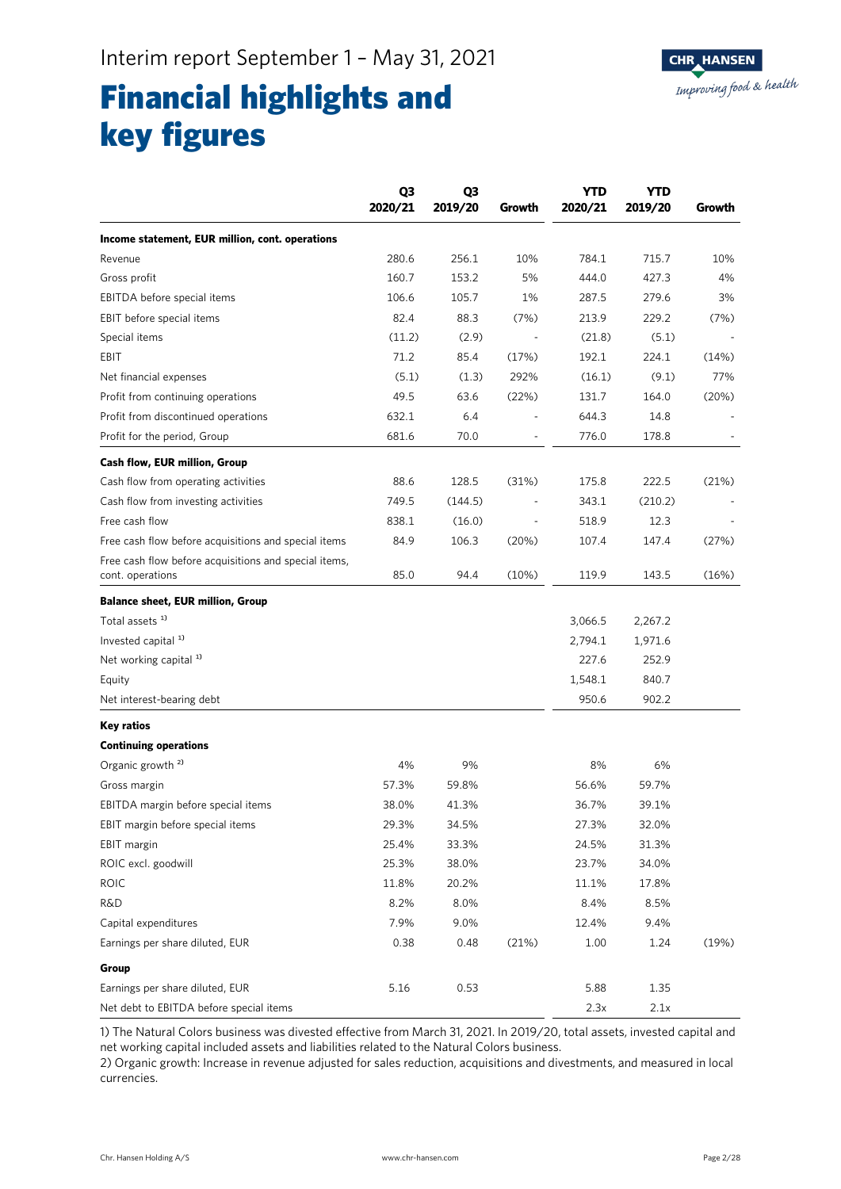## Financial highlights and key figures

|                                                                           | Q3<br>2020/21 | Q <sub>3</sub><br>2019/20 | Growth | <b>YTD</b><br>2020/21 | <b>YTD</b><br>2019/20 | Growth |
|---------------------------------------------------------------------------|---------------|---------------------------|--------|-----------------------|-----------------------|--------|
| Income statement, EUR million, cont. operations                           |               |                           |        |                       |                       |        |
| Revenue                                                                   | 280.6         | 256.1                     | 10%    | 784.1                 | 715.7                 | 10%    |
| Gross profit                                                              | 160.7         | 153.2                     | 5%     | 444.0                 | 427.3                 | 4%     |
| EBITDA before special items                                               | 106.6         | 105.7                     | 1%     | 287.5                 | 279.6                 | 3%     |
| EBIT before special items                                                 | 82.4          | 88.3                      | (7%)   | 213.9                 | 229.2                 | (7%)   |
| Special items                                                             | (11.2)        | (2.9)                     |        | (21.8)                | (5.1)                 |        |
| EBIT                                                                      | 71.2          | 85.4                      | (17%)  | 192.1                 | 224.1                 | (14%)  |
| Net financial expenses                                                    | (5.1)         | (1.3)                     | 292%   | (16.1)                | (9.1)                 | 77%    |
| Profit from continuing operations                                         | 49.5          | 63.6                      | (22%)  | 131.7                 | 164.0                 | (20%)  |
| Profit from discontinued operations                                       | 632.1         | 6.4                       |        | 644.3                 | 14.8                  |        |
| Profit for the period, Group                                              | 681.6         | 70.0                      |        | 776.0                 | 178.8                 |        |
| Cash flow, EUR million, Group                                             |               |                           |        |                       |                       |        |
| Cash flow from operating activities                                       | 88.6          | 128.5                     | (31%)  | 175.8                 | 222.5                 | (21%)  |
| Cash flow from investing activities                                       | 749.5         | (144.5)                   |        | 343.1                 | (210.2)               |        |
| Free cash flow                                                            | 838.1         | (16.0)                    |        | 518.9                 | 12.3                  |        |
| Free cash flow before acquisitions and special items                      | 84.9          | 106.3                     | (20%)  | 107.4                 | 147.4                 | (27%)  |
| Free cash flow before acquisitions and special items,<br>cont. operations | 85.0          | 94.4                      | (10%)  | 119.9                 | 143.5                 | (16%)  |
| <b>Balance sheet, EUR million, Group</b>                                  |               |                           |        |                       |                       |        |
| Total assets <sup>1)</sup>                                                |               |                           |        | 3,066.5               | 2,267.2               |        |
| Invested capital <sup>1)</sup>                                            |               |                           |        | 2,794.1               | 1,971.6               |        |
| Net working capital <sup>1)</sup>                                         |               |                           |        | 227.6                 | 252.9                 |        |
| Equity                                                                    |               |                           |        | 1,548.1               | 840.7                 |        |
| Net interest-bearing debt                                                 |               |                           |        | 950.6                 | 902.2                 |        |
| Key ratios                                                                |               |                           |        |                       |                       |        |
| <b>Continuing operations</b>                                              |               |                           |        |                       |                       |        |
| Organic growth <sup>2)</sup>                                              | 4%            | 9%                        |        | 8%                    | 6%                    |        |
| Gross margin                                                              | 57.3%         | 59.8%                     |        | 56.6%                 | 59.7%                 |        |
| EBITDA margin before special items                                        | 38.0%         | 41.3%                     |        | 36.7%                 | 39.1%                 |        |
| EBIT margin before special items                                          | 29.3%         | 34.5%                     |        | 27.3%                 | 32.0%                 |        |
| EBIT margin                                                               | 25.4%         | 33.3%                     |        | 24.5%                 | 31.3%                 |        |
| ROIC excl. goodwill                                                       | 25.3%         | 38.0%                     |        | 23.7%                 | 34.0%                 |        |
| <b>ROIC</b>                                                               | 11.8%         | 20.2%                     |        | 11.1%                 | 17.8%                 |        |
| <b>R&amp;D</b>                                                            | 8.2%          | 8.0%                      |        | 8.4%                  | 8.5%                  |        |
| Capital expenditures                                                      | 7.9%          | 9.0%                      |        | 12.4%                 | 9.4%                  |        |
| Earnings per share diluted, EUR                                           | 0.38          | 0.48                      | (21%)  | 1.00                  | 1.24                  | (19%)  |
| Group                                                                     |               |                           |        |                       |                       |        |
| Earnings per share diluted, EUR                                           | 5.16          | 0.53                      |        | 5.88                  | 1.35                  |        |
| Net debt to EBITDA before special items                                   |               |                           |        | 2.3x                  | 2.1x                  |        |

1) The Natural Colors business was divested effective from March 31, 2021. In 2019/20, total assets, invested capital and net working capital included assets and liabilities related to the Natural Colors business.

2) Organic growth: Increase in revenue adjusted for sales reduction, acquisitions and divestments, and measured in local currencies.

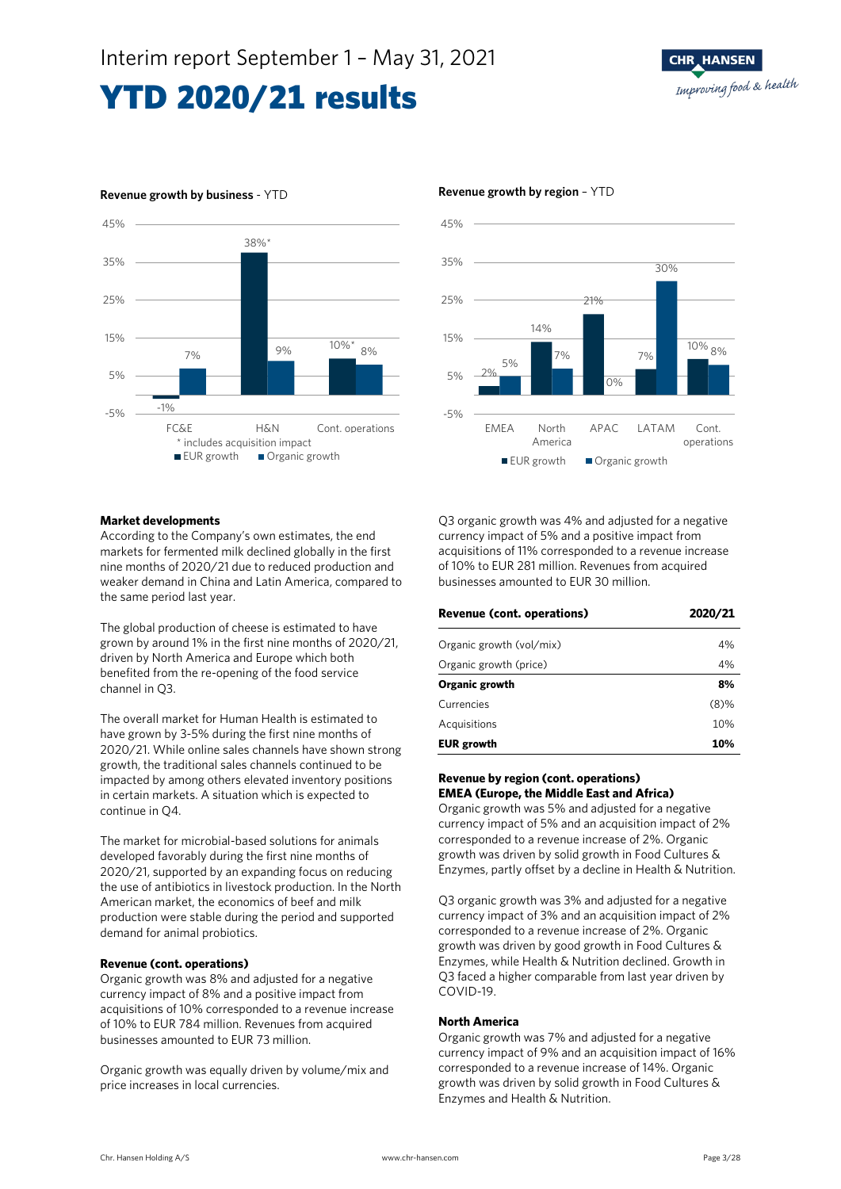

### **Revenue growth by business** - YTD **Revenue growth by region** – YTD





#### **Market developments**

According to the Company's own estimates, the end markets for fermented milk declined globally in the first nine months of 2020/21 due to reduced production and weaker demand in China and Latin America, compared to the same period last year.

The global production of cheese is estimated to have grown by around 1% in the first nine months of 2020/21, driven by North America and Europe which both benefited from the re-opening of the food service channel in Q3.

The overall market for Human Health is estimated to have grown by 3-5% during the first nine months of 2020/21. While online sales channels have shown strong growth, the traditional sales channels continued to be impacted by among others elevated inventory positions in certain markets. A situation which is expected to continue in Q4.

The market for microbial-based solutions for animals developed favorably during the first nine months of 2020/21, supported by an expanding focus on reducing the use of antibiotics in livestock production. In the North American market, the economics of beef and milk production were stable during the period and supported demand for animal probiotics.

#### **Revenue (cont. operations)**

Organic growth was 8% and adjusted for a negative currency impact of 8% and a positive impact from acquisitions of 10% corresponded to a revenue increase of 10% to EUR 784 million. Revenues from acquired businesses amounted to EUR 73 million.

Organic growth was equally driven by volume/mix and price increases in local currencies.

Q3 organic growth was 4% and adjusted for a negative currency impact of 5% and a positive impact from acquisitions of 11% corresponded to a revenue increase of 10% to EUR 281 million. Revenues from acquired businesses amounted to EUR 30 million.

| <b>Revenue (cont. operations)</b> | 2020/21 |
|-----------------------------------|---------|
| Organic growth (vol/mix)          | 4%      |
| Organic growth (price)            | 4%      |
| Organic growth                    | 8%      |
| Currencies                        | $(8)\%$ |
| Acquisitions                      | 10%     |
| <b>EUR growth</b>                 | 10%     |

#### **Revenue by region (cont. operations) EMEA (Europe, the Middle East and Africa)**

Organic growth was 5% and adjusted for a negative currency impact of 5% and an acquisition impact of 2% corresponded to a revenue increase of 2%. Organic growth was driven by solid growth in Food Cultures & Enzymes, partly offset by a decline in Health & Nutrition.

Q3 organic growth was 3% and adjusted for a negative currency impact of 3% and an acquisition impact of 2% corresponded to a revenue increase of 2%. Organic growth was driven by good growth in Food Cultures & Enzymes, while Health & Nutrition declined. Growth in Q3 faced a higher comparable from last year driven by COVID-19.

#### **North America**

Organic growth was 7% and adjusted for a negative currency impact of 9% and an acquisition impact of 16% corresponded to a revenue increase of 14%. Organic growth was driven by solid growth in Food Cultures & Enzymes and Health & Nutrition.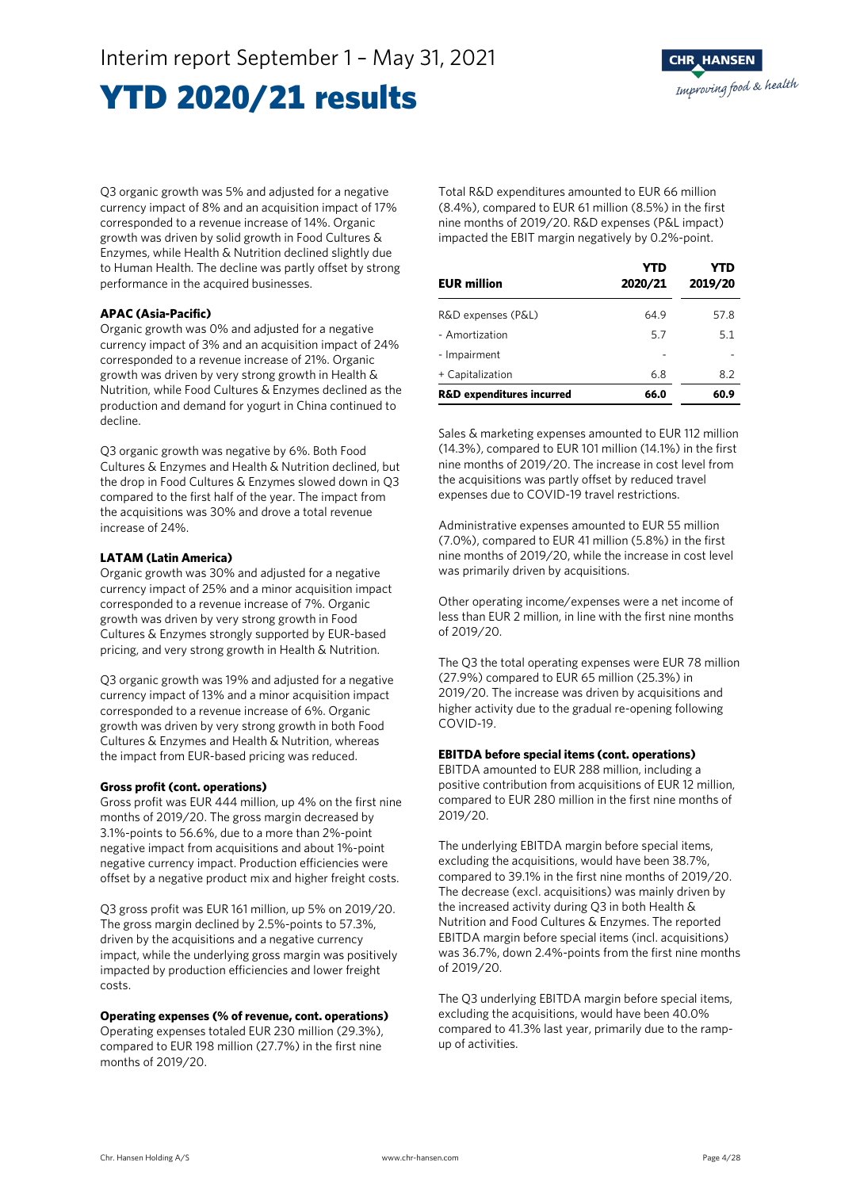Q3 organic growth was 5% and adjusted for a negative currency impact of 8% and an acquisition impact of 17% corresponded to a revenue increase of 14%. Organic growth was driven by solid growth in Food Cultures & Enzymes, while Health & Nutrition declined slightly due to Human Health. The decline was partly offset by strong performance in the acquired businesses.

### **APAC (Asia-Pacific)**

Organic growth was 0% and adjusted for a negative currency impact of 3% and an acquisition impact of 24% corresponded to a revenue increase of 21%. Organic growth was driven by very strong growth in Health & Nutrition, while Food Cultures & Enzymes declined as the production and demand for yogurt in China continued to decline.

Q3 organic growth was negative by 6%. Both Food Cultures & Enzymes and Health & Nutrition declined, but the drop in Food Cultures & Enzymes slowed down in Q3 compared to the first half of the year. The impact from the acquisitions was 30% and drove a total revenue increase of 24%.

### **LATAM (Latin America)**

Organic growth was 30% and adjusted for a negative currency impact of 25% and a minor acquisition impact corresponded to a revenue increase of 7%. Organic growth was driven by very strong growth in Food Cultures & Enzymes strongly supported by EUR-based pricing, and very strong growth in Health & Nutrition.

Q3 organic growth was 19% and adjusted for a negative currency impact of 13% and a minor acquisition impact corresponded to a revenue increase of 6%. Organic growth was driven by very strong growth in both Food Cultures & Enzymes and Health & Nutrition, whereas the impact from EUR-based pricing was reduced.

#### **Gross profit (cont. operations)**

Gross profit was EUR 444 million, up 4% on the first nine months of 2019/20. The gross margin decreased by 3.1%-points to 56.6%, due to a more than 2%-point negative impact from acquisitions and about 1%-point negative currency impact. Production efficiencies were offset by a negative product mix and higher freight costs.

Q3 gross profit was EUR 161 million, up 5% on 2019/20. The gross margin declined by 2.5%-points to 57.3%, driven by the acquisitions and a negative currency impact, while the underlying gross margin was positively impacted by production efficiencies and lower freight costs.

### **Operating expenses (% of revenue, cont. operations)**

Operating expenses totaled EUR 230 million (29.3%), compared to EUR 198 million (27.7%) in the first nine months of 2019/20.

Total R&D expenditures amounted to EUR 66 million (8.4%), compared to EUR 61 million (8.5%) in the first nine months of 2019/20. R&D expenses (P&L impact) impacted the EBIT margin negatively by 0.2%-point.

| <b>EUR million</b>                   | <b>YTD</b><br>2020/21 | YTD<br>2019/20 |
|--------------------------------------|-----------------------|----------------|
| R&D expenses (P&L)                   | 64.9                  | 57.8           |
| - Amortization                       | 5.7                   | 5.1            |
| - Impairment                         |                       |                |
| + Capitalization                     | 6.8                   | 8.2            |
| <b>R&amp;D expenditures incurred</b> | 66.0                  | 60.9           |

Sales & marketing expenses amounted to EUR 112 million (14.3%), compared to EUR 101 million (14.1%) in the first nine months of 2019/20. The increase in cost level from the acquisitions was partly offset by reduced travel expenses due to COVID-19 travel restrictions.

Administrative expenses amounted to EUR 55 million (7.0%), compared to EUR 41 million (5.8%) in the first nine months of 2019/20, while the increase in cost level was primarily driven by acquisitions.

Other operating income/expenses were a net income of less than EUR 2 million, in line with the first nine months of 2019/20.

The Q3 the total operating expenses were EUR 78 million (27.9%) compared to EUR 65 million (25.3%) in 2019/20. The increase was driven by acquisitions and higher activity due to the gradual re-opening following COVID-19.

### **EBITDA before special items (cont. operations)**

EBITDA amounted to EUR 288 million, including a positive contribution from acquisitions of EUR 12 million, compared to EUR 280 million in the first nine months of 2019/20.

The underlying EBITDA margin before special items, excluding the acquisitions, would have been 38.7%, compared to 39.1% in the first nine months of 2019/20. The decrease (excl. acquisitions) was mainly driven by the increased activity during Q3 in both Health & Nutrition and Food Cultures & Enzymes. The reported EBITDA margin before special items (incl. acquisitions) was 36.7%, down 2.4%-points from the first nine months of 2019/20.

The Q3 underlying EBITDA margin before special items, excluding the acquisitions, would have been 40.0% compared to 41.3% last year, primarily due to the rampup of activities.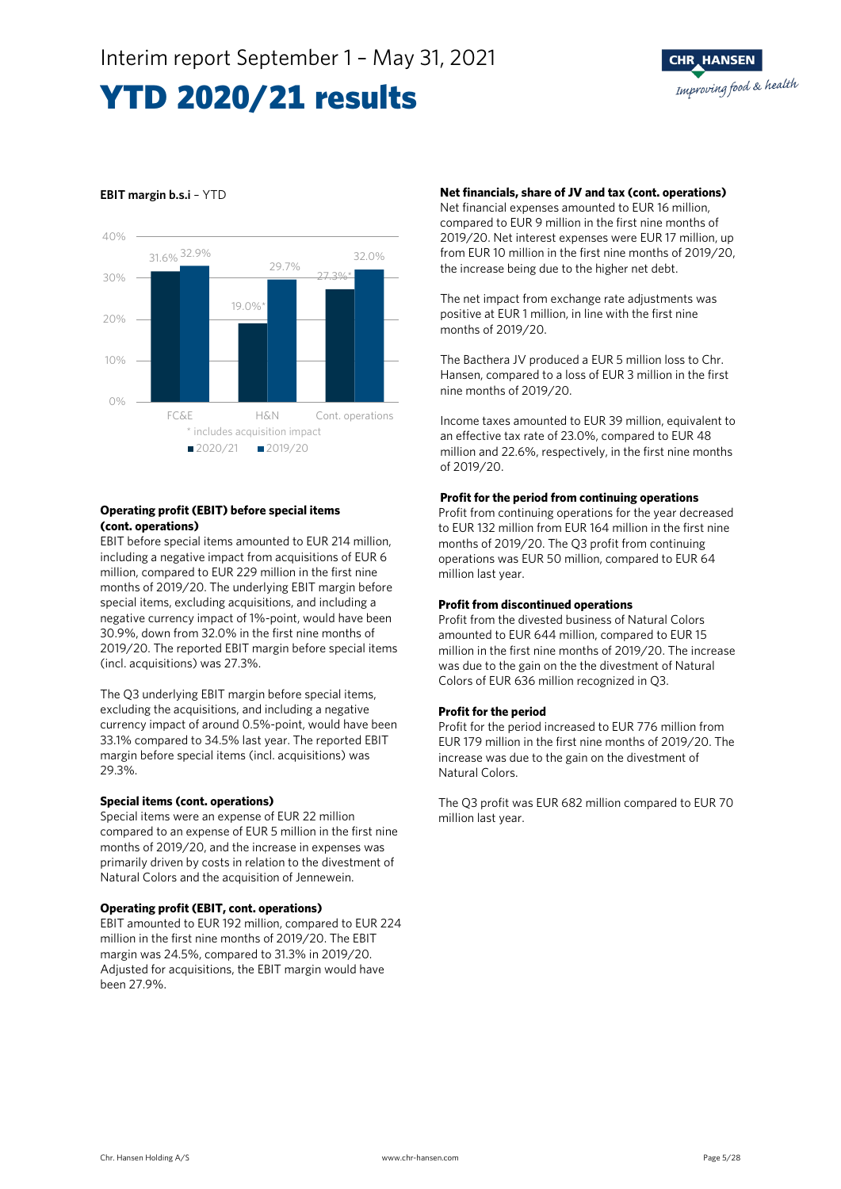### **EBIT margin b.s.i** – YTD



#### **Operating profit (EBIT) before special items (cont. operations)**

EBIT before special items amounted to EUR 214 million, including a negative impact from acquisitions of EUR 6 million, compared to EUR 229 million in the first nine months of 2019/20. The underlying EBIT margin before special items, excluding acquisitions, and including a negative currency impact of 1%-point, would have been 30.9%, down from 32.0% in the first nine months of 2019/20. The reported EBIT margin before special items (incl. acquisitions) was 27.3%.

The Q3 underlying EBIT margin before special items, excluding the acquisitions, and including a negative currency impact of around 0.5%-point, would have been 33.1% compared to 34.5% last year. The reported EBIT margin before special items (incl. acquisitions) was 29.3%.

#### **Special items (cont. operations)**

Special items were an expense of EUR 22 million compared to an expense of EUR 5 million in the first nine months of 2019/20, and the increase in expenses was primarily driven by costs in relation to the divestment of Natural Colors and the acquisition of Jennewein.

#### **Operating profit (EBIT, cont. operations)**

EBIT amounted to EUR 192 million, compared to EUR 224 million in the first nine months of 2019/20. The EBIT margin was 24.5%, compared to 31.3% in 2019/20. Adjusted for acquisitions, the EBIT margin would have been 27.9%.

#### **Net financials, share of JV and tax (cont. operations)**

Net financial expenses amounted to EUR 16 million, compared to EUR 9 million in the first nine months of 2019/20. Net interest expenses were EUR 17 million, up from EUR 10 million in the first nine months of 2019/20, the increase being due to the higher net debt.

The net impact from exchange rate adjustments was positive at EUR 1 million, in line with the first nine months of 2019/20.

The Bacthera JV produced a EUR 5 million loss to Chr. Hansen, compared to a loss of EUR 3 million in the first nine months of 2019/20.

Income taxes amounted to EUR 39 million, equivalent to an effective tax rate of 23.0%, compared to EUR 48 million and 22.6%, respectively, in the first nine months of 2019/20.

#### **Profit for the period from continuing operations**

Profit from continuing operations for the year decreased to EUR 132 million from EUR 164 million in the first nine months of 2019/20. The Q3 profit from continuing operations was EUR 50 million, compared to EUR 64 million last year.

#### **Profit from discontinued operations**

Profit from the divested business of Natural Colors amounted to EUR 644 million, compared to EUR 15 million in the first nine months of 2019/20. The increase was due to the gain on the the divestment of Natural Colors of EUR 636 million recognized in Q3.

#### **Profit for the period**

Profit for the period increased to EUR 776 million from EUR 179 million in the first nine months of 2019/20. The increase was due to the gain on the divestment of Natural Colors.

The Q3 profit was EUR 682 million compared to EUR 70 million last year.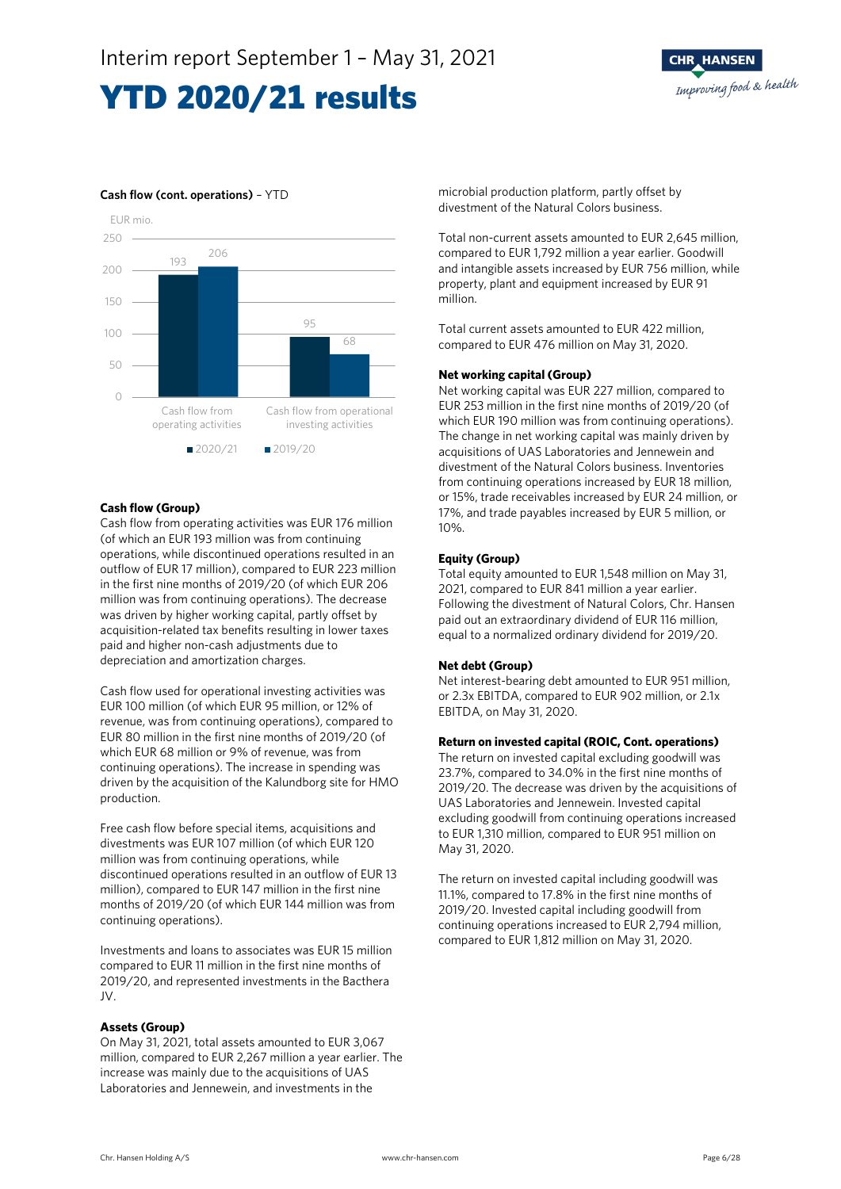

### **Cash flow (cont. operations)** – YTD



#### **Cash flow (Group)**

Cash flow from operating activities was EUR 176 million (of which an EUR 193 million was from continuing operations, while discontinued operations resulted in an outflow of EUR 17 million), compared to EUR 223 million in the first nine months of 2019/20 (of which EUR 206 million was from continuing operations). The decrease was driven by higher working capital, partly offset by acquisition-related tax benefits resulting in lower taxes paid and higher non-cash adjustments due to depreciation and amortization charges.

Cash flow used for operational investing activities was EUR 100 million (of which EUR 95 million, or 12% of revenue, was from continuing operations), compared to EUR 80 million in the first nine months of 2019/20 (of which EUR 68 million or 9% of revenue, was from continuing operations). The increase in spending was driven by the acquisition of the Kalundborg site for HMO production.

Free cash flow before special items, acquisitions and divestments was EUR 107 million (of which EUR 120 million was from continuing operations, while discontinued operations resulted in an outflow of EUR 13 million), compared to EUR 147 million in the first nine months of 2019/20 (of which EUR 144 million was from continuing operations).

Investments and loans to associates was EUR 15 million compared to EUR 11 million in the first nine months of 2019/20, and represented investments in the Bacthera JV.

### **Assets (Group)**

On May 31, 2021, total assets amounted to EUR 3,067 million, compared to EUR 2,267 million a year earlier. The increase was mainly due to the acquisitions of UAS Laboratories and Jennewein, and investments in the

microbial production platform, partly offset by divestment of the Natural Colors business.

Total non-current assets amounted to EUR 2,645 million, compared to EUR 1,792 million a year earlier. Goodwill and intangible assets increased by EUR 756 million, while property, plant and equipment increased by EUR 91 million.

Total current assets amounted to EUR 422 million, compared to EUR 476 million on May 31, 2020.

#### **Net working capital (Group)**

Net working capital was EUR 227 million, compared to EUR 253 million in the first nine months of 2019/20 (of which EUR 190 million was from continuing operations). The change in net working capital was mainly driven by acquisitions of UAS Laboratories and Jennewein and divestment of the Natural Colors business. Inventories from continuing operations increased by EUR 18 million, or 15%, trade receivables increased by EUR 24 million, or 17%, and trade payables increased by EUR 5 million, or 10%.

#### **Equity (Group)**

Total equity amounted to EUR 1,548 million on May 31, 2021, compared to EUR 841 million a year earlier. Following the divestment of Natural Colors, Chr. Hansen paid out an extraordinary dividend of EUR 116 million, equal to a normalized ordinary dividend for 2019/20.

### **Net debt (Group)**

Net interest-bearing debt amounted to EUR 951 million, or 2.3x EBITDA, compared to EUR 902 million, or 2.1x EBITDA, on May 31, 2020.

#### **Return on invested capital (ROIC, Cont. operations)**

The return on invested capital excluding goodwill was 23.7%, compared to 34.0% in the first nine months of 2019/20. The decrease was driven by the acquisitions of UAS Laboratories and Jennewein. Invested capital excluding goodwill from continuing operations increased to EUR 1,310 million, compared to EUR 951 million on May 31, 2020.

The return on invested capital including goodwill was 11.1%, compared to 17.8% in the first nine months of 2019/20. Invested capital including goodwill from continuing operations increased to EUR 2,794 million, compared to EUR 1,812 million on May 31, 2020.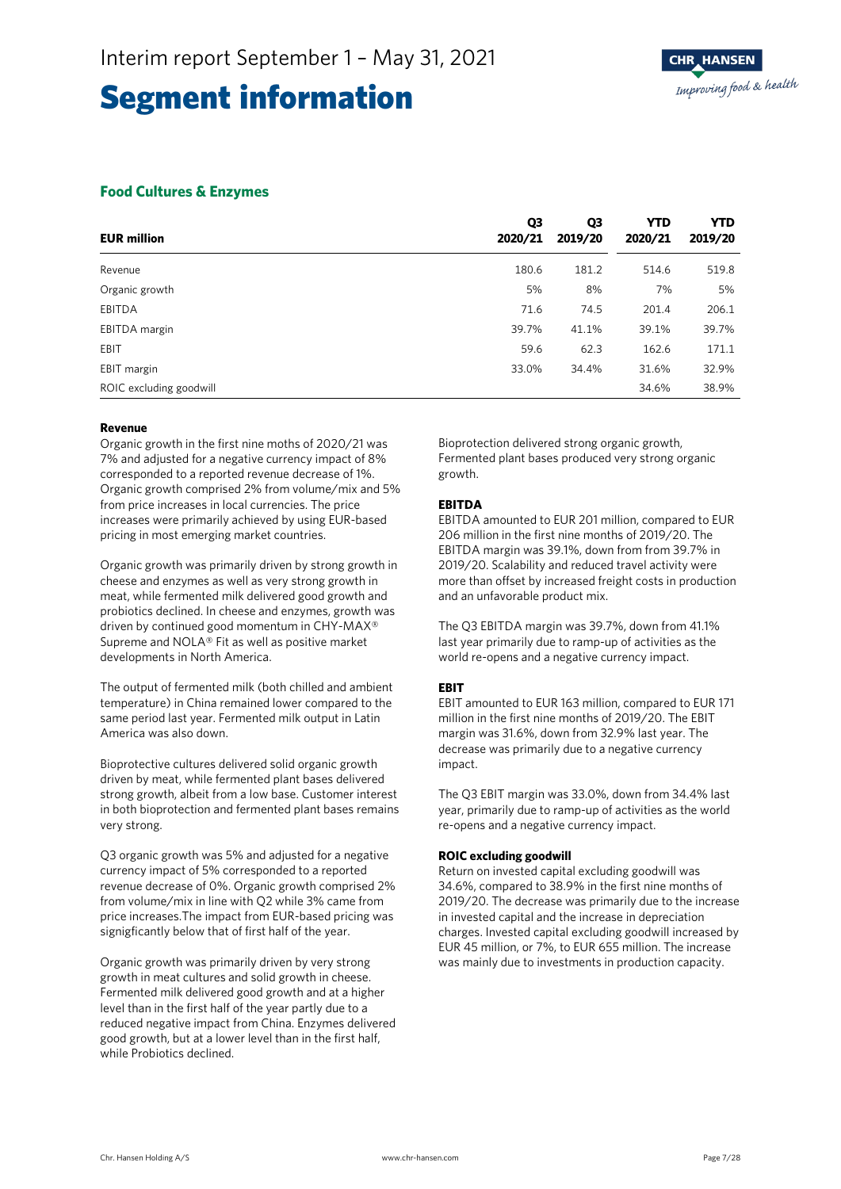### **Food Cultures & Enzymes**

| <b>EUR million</b>      | Q3<br>2020/21 | Q3<br>2019/20 | <b>YTD</b><br>2020/21 | <b>YTD</b><br>2019/20 |
|-------------------------|---------------|---------------|-----------------------|-----------------------|
| Revenue                 | 180.6         | 181.2         | 514.6                 | 519.8                 |
| Organic growth          | 5%            | 8%            | 7%                    | 5%                    |
| EBITDA                  | 71.6          | 74.5          | 201.4                 | 206.1                 |
| EBITDA margin           | 39.7%         | 41.1%         | 39.1%                 | 39.7%                 |
| EBIT                    | 59.6          | 62.3          | 162.6                 | 171.1                 |
| EBIT margin             | 33.0%         | 34.4%         | 31.6%                 | 32.9%                 |
| ROIC excluding goodwill |               |               | 34.6%                 | 38.9%                 |

#### **Revenue**

Organic growth in the first nine moths of 2020/21 was 7% and adjusted for a negative currency impact of 8% corresponded to a reported revenue decrease of 1%. Organic growth comprised 2% from volume/mix and 5% from price increases in local currencies. The price increases were primarily achieved by using EUR-based pricing in most emerging market countries.

Organic growth was primarily driven by strong growth in cheese and enzymes as well as very strong growth in meat, while fermented milk delivered good growth and probiotics declined. In cheese and enzymes, growth was driven by continued good momentum in CHY-MAX® Supreme and NOLA® Fit as well as positive market developments in North America.

The output of fermented milk (both chilled and ambient temperature) in China remained lower compared to the same period last year. Fermented milk output in Latin America was also down.

Bioprotective cultures delivered solid organic growth driven by meat, while fermented plant bases delivered strong growth, albeit from a low base. Customer interest in both bioprotection and fermented plant bases remains very strong.

Q3 organic growth was 5% and adjusted for a negative currency impact of 5% corresponded to a reported revenue decrease of 0%. Organic growth comprised 2% from volume/mix in line with Q2 while 3% came from price increases.The impact from EUR-based pricing was signigficantly below that of first half of the year.

Organic growth was primarily driven by very strong growth in meat cultures and solid growth in cheese. Fermented milk delivered good growth and at a higher level than in the first half of the year partly due to a reduced negative impact from China. Enzymes delivered good growth, but at a lower level than in the first half, while Probiotics declined.

Bioprotection delivered strong organic growth, Fermented plant bases produced very strong organic growth.

### **EBITDA**

EBITDA amounted to EUR 201 million, compared to EUR 206 million in the first nine months of 2019/20. The EBITDA margin was 39.1%, down from from 39.7% in 2019/20. Scalability and reduced travel activity were more than offset by increased freight costs in production and an unfavorable product mix.

The Q3 EBITDA margin was 39.7%, down from 41.1% last year primarily due to ramp-up of activities as the world re-opens and a negative currency impact.

### **EBIT**

EBIT amounted to EUR 163 million, compared to EUR 171 million in the first nine months of 2019/20. The EBIT margin was 31.6%, down from 32.9% last year. The decrease was primarily due to a negative currency impact.

The Q3 EBIT margin was 33.0%, down from 34.4% last year, primarily due to ramp-up of activities as the world re-opens and a negative currency impact.

### **ROIC excluding goodwill**

Return on invested capital excluding goodwill was 34.6%, compared to 38.9% in the first nine months of 2019/20. The decrease was primarily due to the increase in invested capital and the increase in depreciation charges. Invested capital excluding goodwill increased by EUR 45 million, or 7%, to EUR 655 million. The increase was mainly due to investments in production capacity.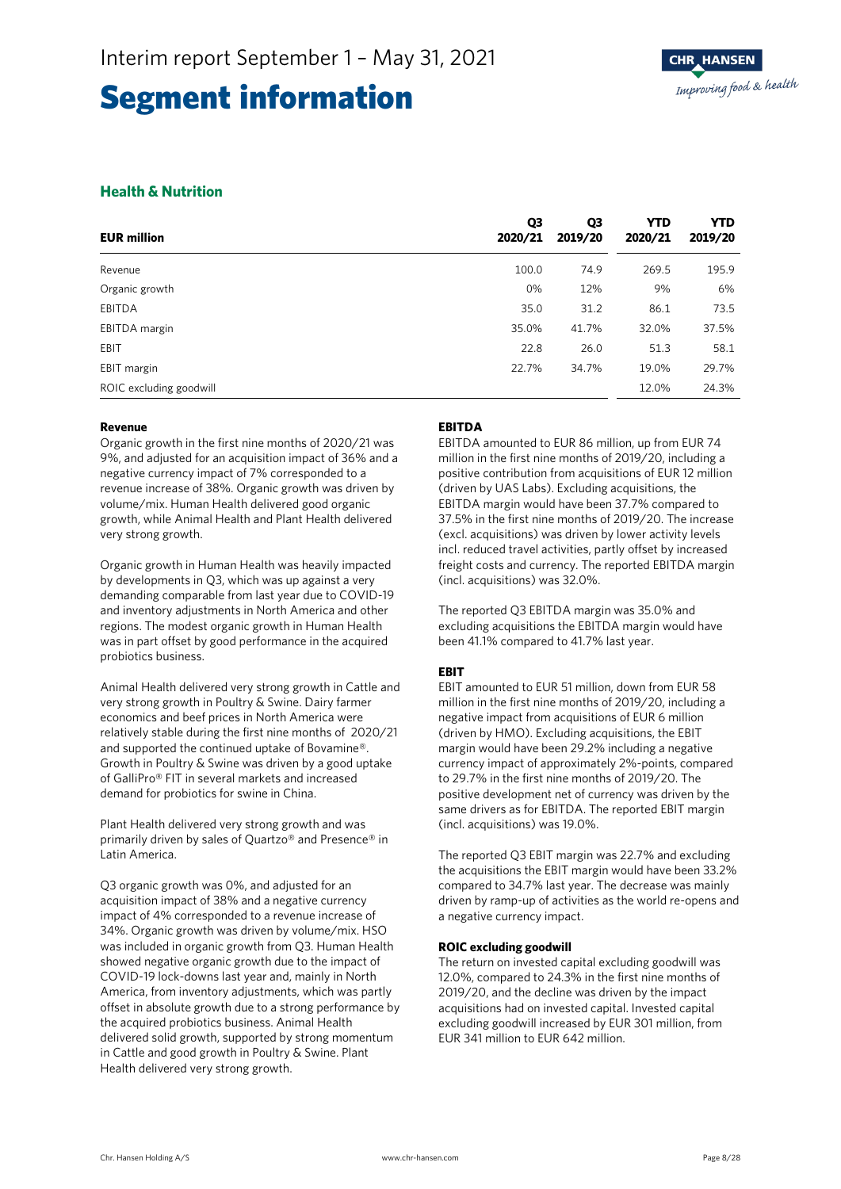### **Health & Nutrition**

| <b>EUR million</b>      | Q3<br>2020/21 | Q3<br>2019/20 | <b>YTD</b><br>2020/21 | <b>YTD</b><br>2019/20 |
|-------------------------|---------------|---------------|-----------------------|-----------------------|
| Revenue                 | 100.0         | 74.9          | 269.5                 | 195.9                 |
| Organic growth          | 0%            | 12%           | 9%                    | 6%                    |
| <b>EBITDA</b>           | 35.0          | 31.2          | 86.1                  | 73.5                  |
| EBITDA margin           | 35.0%         | 41.7%         | 32.0%                 | 37.5%                 |
| EBIT                    | 22.8          | 26.0          | 51.3                  | 58.1                  |
| EBIT margin             | 22.7%         | 34.7%         | 19.0%                 | 29.7%                 |
| ROIC excluding goodwill |               |               | 12.0%                 | 24.3%                 |

#### **Revenue**

Organic growth in the first nine months of 2020/21 was 9%, and adjusted for an acquisition impact of 36% and a negative currency impact of 7% corresponded to a revenue increase of 38%. Organic growth was driven by volume/mix. Human Health delivered good organic growth, while Animal Health and Plant Health delivered very strong growth.

Organic growth in Human Health was heavily impacted by developments in Q3, which was up against a very demanding comparable from last year due to COVID-19 and inventory adjustments in North America and other regions. The modest organic growth in Human Health was in part offset by good performance in the acquired probiotics business.

Animal Health delivered very strong growth in Cattle and very strong growth in Poultry & Swine. Dairy farmer economics and beef prices in North America were relatively stable during the first nine months of 2020/21 and supported the continued uptake of Bovamine®. Growth in Poultry & Swine was driven by a good uptake of GalliPro® FIT in several markets and increased demand for probiotics for swine in China.

Plant Health delivered very strong growth and was primarily driven by sales of Quartzo® and Presence® in Latin America.

Q3 organic growth was 0%, and adjusted for an acquisition impact of 38% and a negative currency impact of 4% corresponded to a revenue increase of 34%. Organic growth was driven by volume/mix. HSO was included in organic growth from Q3. Human Health showed negative organic growth due to the impact of COVID-19 lock-downs last year and, mainly in North America, from inventory adjustments, which was partly offset in absolute growth due to a strong performance by the acquired probiotics business. Animal Health delivered solid growth, supported by strong momentum in Cattle and good growth in Poultry & Swine. Plant Health delivered very strong growth.

### **EBITDA**

EBITDA amounted to EUR 86 million, up from EUR 74 million in the first nine months of 2019/20, including a positive contribution from acquisitions of EUR 12 million (driven by UAS Labs). Excluding acquisitions, the EBITDA margin would have been 37.7% compared to 37.5% in the first nine months of 2019/20. The increase (excl. acquisitions) was driven by lower activity levels incl. reduced travel activities, partly offset by increased freight costs and currency. The reported EBITDA margin (incl. acquisitions) was 32.0%.

The reported Q3 EBITDA margin was 35.0% and excluding acquisitions the EBITDA margin would have been 41.1% compared to 41.7% last year.

### **EBIT**

EBIT amounted to EUR 51 million, down from EUR 58 million in the first nine months of 2019/20, including a negative impact from acquisitions of EUR 6 million (driven by HMO). Excluding acquisitions, the EBIT margin would have been 29.2% including a negative currency impact of approximately 2%-points, compared to 29.7% in the first nine months of 2019/20. The positive development net of currency was driven by the same drivers as for EBITDA. The reported EBIT margin (incl. acquisitions) was 19.0%.

The reported Q3 EBIT margin was 22.7% and excluding the acquisitions the EBIT margin would have been 33.2% compared to 34.7% last year. The decrease was mainly driven by ramp-up of activities as the world re-opens and a negative currency impact.

### **ROIC excluding goodwill**

The return on invested capital excluding goodwill was 12.0%, compared to 24.3% in the first nine months of 2019/20, and the decline was driven by the impact acquisitions had on invested capital. Invested capital excluding goodwill increased by EUR 301 million, from EUR 341 million to EUR 642 million.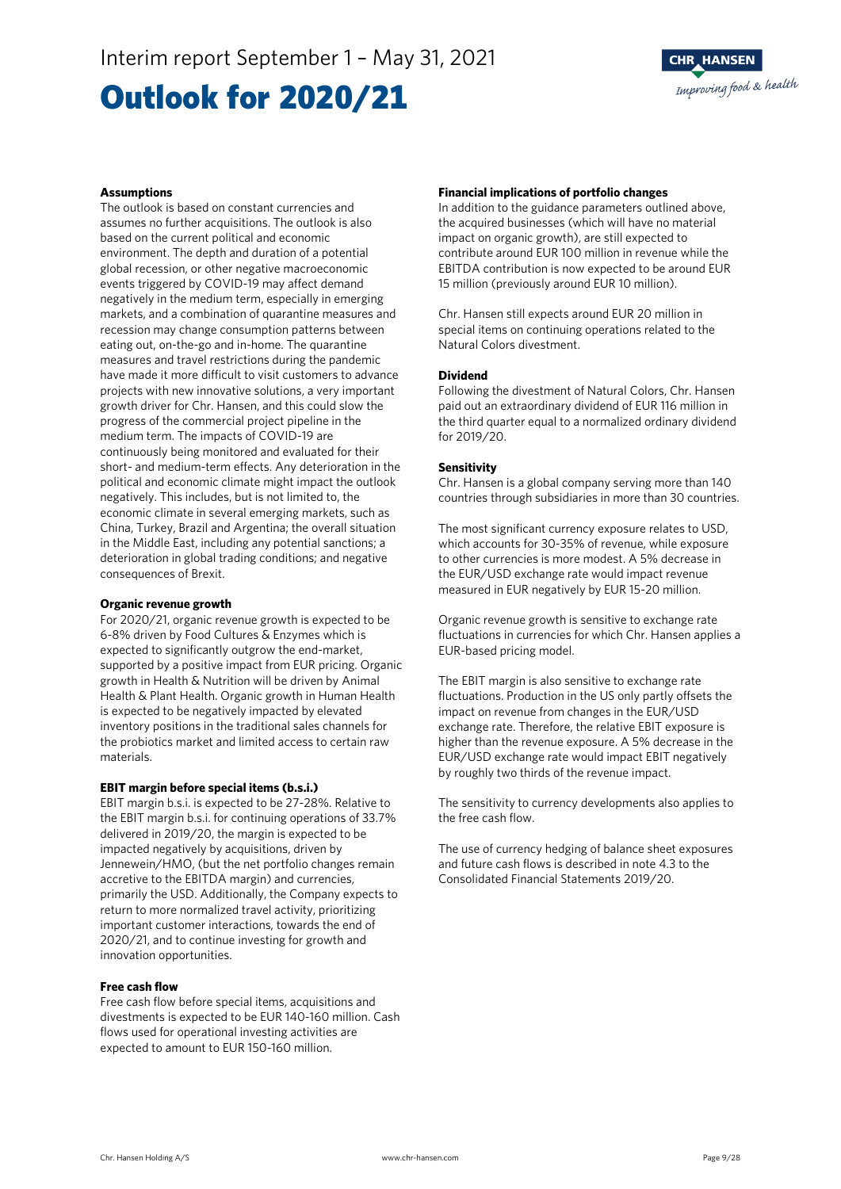### Outlook for 2020/21

#### **Assumptions**

The outlook is based on constant currencies and assumes no further acquisitions. The outlook is also based on the current political and economic environment. The depth and duration of a potential global recession, or other negative macroeconomic events triggered by COVID-19 may affect demand negatively in the medium term, especially in emerging markets, and a combination of quarantine measures and recession may change consumption patterns between eating out, on-the-go and in-home. The quarantine measures and travel restrictions during the pandemic have made it more difficult to visit customers to advance projects with new innovative solutions, a very important growth driver for Chr. Hansen, and this could slow the progress of the commercial project pipeline in the medium term. The impacts of COVID-19 are continuously being monitored and evaluated for their short- and medium-term effects. Any deterioration in the political and economic climate might impact the outlook negatively. This includes, but is not limited to, the economic climate in several emerging markets, such as China, Turkey, Brazil and Argentina; the overall situation in the Middle East, including any potential sanctions; a deterioration in global trading conditions; and negative consequences of Brexit.

#### **Organic revenue growth**

For 2020/21, organic revenue growth is expected to be 6-8% driven by Food Cultures & Enzymes which is expected to significantly outgrow the end-market, supported by a positive impact from EUR pricing. Organic growth in Health & Nutrition will be driven by Animal Health & Plant Health. Organic growth in Human Health is expected to be negatively impacted by elevated inventory positions in the traditional sales channels for the probiotics market and limited access to certain raw materials.

#### **EBIT margin before special items (b.s.i.)**

EBIT margin b.s.i. is expected to be 27-28%. Relative to the EBIT margin b.s.i. for continuing operations of 33.7% delivered in 2019/20, the margin is expected to be impacted negatively by acquisitions, driven by Jennewein/HMO, (but the net portfolio changes remain accretive to the EBITDA margin) and currencies, primarily the USD. Additionally, the Company expects to return to more normalized travel activity, prioritizing important customer interactions, towards the end of 2020/21, and to continue investing for growth and innovation opportunities.

#### **Free cash flow**

Free cash flow before special items, acquisitions and divestments is expected to be EUR 140-160 million. Cash flows used for operational investing activities are expected to amount to EUR 150-160 million.

#### **Financial implications of portfolio changes**

In addition to the guidance parameters outlined above, the acquired businesses (which will have no material impact on organic growth), are still expected to contribute around EUR 100 million in revenue while the EBITDA contribution is now expected to be around EUR 15 million (previously around EUR 10 million).

Chr. Hansen still expects around EUR 20 million in special items on continuing operations related to the Natural Colors divestment.

#### **Dividend**

Following the divestment of Natural Colors, Chr. Hansen paid out an extraordinary dividend of EUR 116 million in the third quarter equal to a normalized ordinary dividend for 2019/20.

#### **Sensitivity**

Chr. Hansen is a global company serving more than 140 countries through subsidiaries in more than 30 countries.

The most significant currency exposure relates to USD, which accounts for 30-35% of revenue, while exposure to other currencies is more modest. A 5% decrease in the EUR/USD exchange rate would impact revenue measured in EUR negatively by EUR 15-20 million.

Organic revenue growth is sensitive to exchange rate fluctuations in currencies for which Chr. Hansen applies a EUR-based pricing model.

The EBIT margin is also sensitive to exchange rate fluctuations. Production in the US only partly offsets the impact on revenue from changes in the EUR/USD exchange rate. Therefore, the relative EBIT exposure is higher than the revenue exposure. A 5% decrease in the EUR/USD exchange rate would impact EBIT negatively by roughly two thirds of the revenue impact.

The sensitivity to currency developments also applies to the free cash flow.

The use of currency hedging of balance sheet exposures and future cash flows is described in note 4.3 to the Consolidated Financial Statements 2019/20.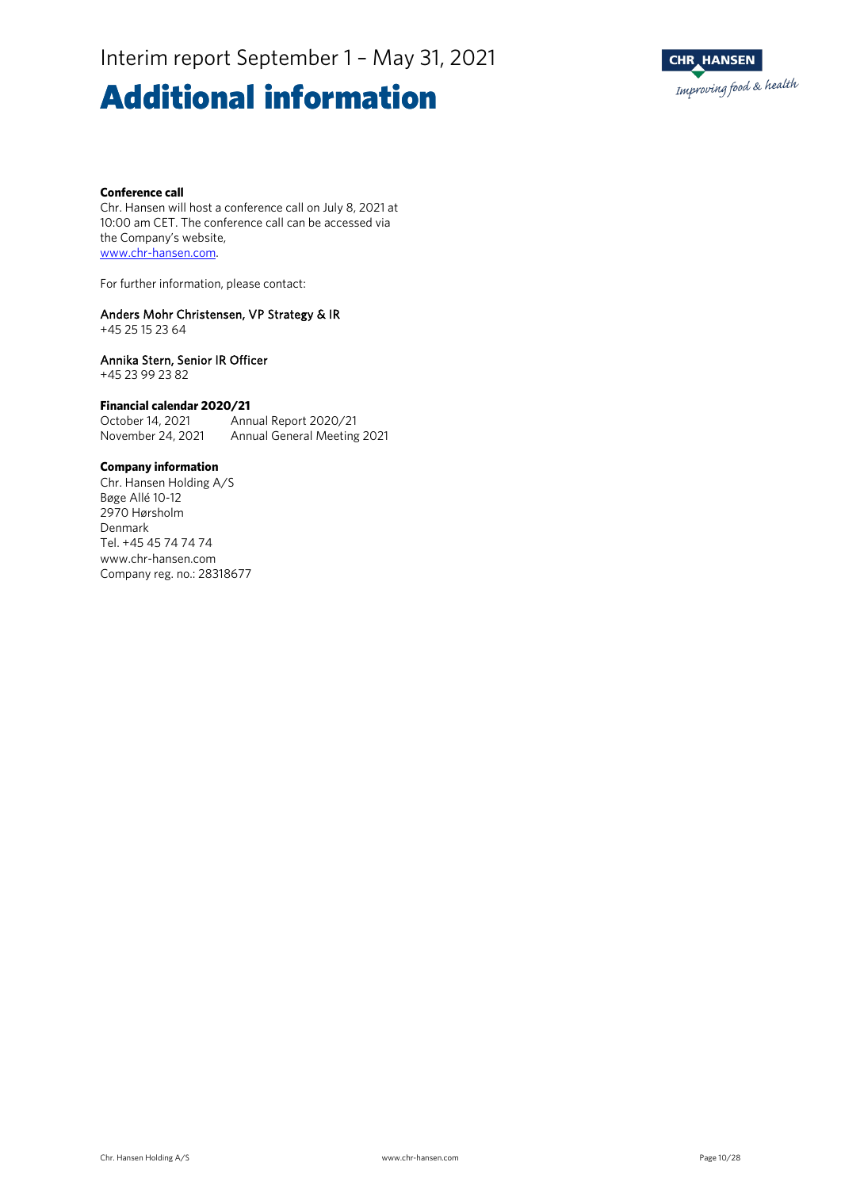### **Additional information**



#### **Conference call**

Chr. Hansen will host a conference call on July 8, 2021 at 10:00 am CET. The conference call can be accessed via the Company's website, [www.chr-hansen.com.](http://www.chr-hansen.com/)

For further information, please contact:

#### Anders Mohr Christensen, VP Strategy & IR

+45 25 15 23 64

#### Annika Stern, Senior IR Officer

+45 23 99 23 82

#### **Financial calendar 2020/21**

October 14, 2021 Annual Report 2020/21 November 24, 2021 Annual General Meeting 2021

#### **Company information**

Chr. Hansen Holding A/S Bøge Allé 10-12 2970 Hørsholm Denmark Tel. +45 45 74 74 74 www.chr-hansen.com Company reg. no.: 28318677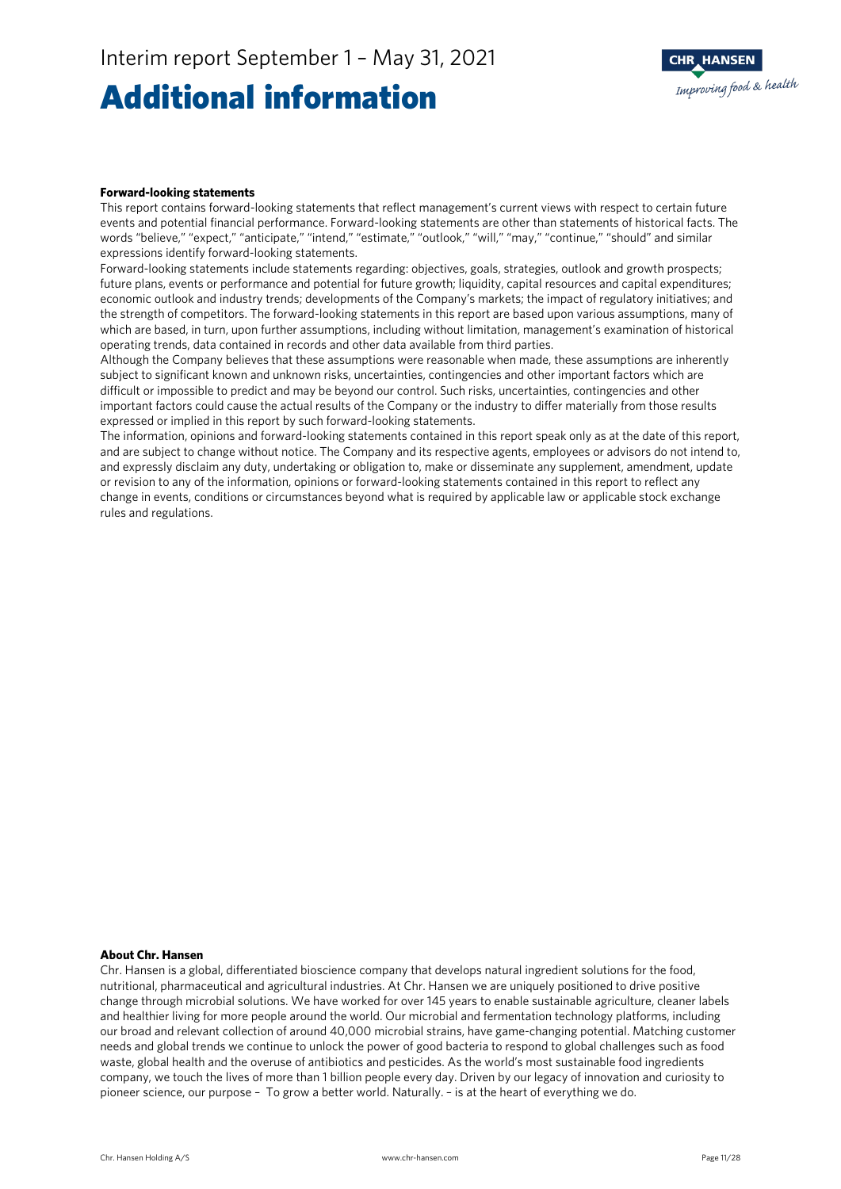### Additional information



#### **Forward-looking statements**

This report contains forward-looking statements that reflect management's current views with respect to certain future events and potential financial performance. Forward-looking statements are other than statements of historical facts. The words "believe," "expect," "anticipate," "intend," "estimate," "outlook," "will," "may," "continue," "should" and similar expressions identify forward-looking statements.

Forward-looking statements include statements regarding: objectives, goals, strategies, outlook and growth prospects; future plans, events or performance and potential for future growth; liquidity, capital resources and capital expenditures; economic outlook and industry trends; developments of the Company's markets; the impact of regulatory initiatives; and the strength of competitors. The forward-looking statements in this report are based upon various assumptions, many of which are based, in turn, upon further assumptions, including without limitation, management's examination of historical operating trends, data contained in records and other data available from third parties.

Although the Company believes that these assumptions were reasonable when made, these assumptions are inherently subject to significant known and unknown risks, uncertainties, contingencies and other important factors which are difficult or impossible to predict and may be beyond our control. Such risks, uncertainties, contingencies and other important factors could cause the actual results of the Company or the industry to differ materially from those results expressed or implied in this report by such forward-looking statements.

The information, opinions and forward-looking statements contained in this report speak only as at the date of this report, and are subject to change without notice. The Company and its respective agents, employees or advisors do not intend to, and expressly disclaim any duty, undertaking or obligation to, make or disseminate any supplement, amendment, update or revision to any of the information, opinions or forward-looking statements contained in this report to reflect any change in events, conditions or circumstances beyond what is required by applicable law or applicable stock exchange rules and regulations.

### **About Chr. Hansen**

Chr. Hansen is a global, differentiated bioscience company that develops natural ingredient solutions for the food, nutritional, pharmaceutical and agricultural industries. At Chr. Hansen we are uniquely positioned to drive positive change through microbial solutions. We have worked for over 145 years to enable sustainable agriculture, cleaner labels and healthier living for more people around the world. Our microbial and fermentation technology platforms, including our broad and relevant collection of around 40,000 microbial strains, have game-changing potential. Matching customer needs and global trends we continue to unlock the power of good bacteria to respond to global challenges such as food waste, global health and the overuse of antibiotics and pesticides. As the world's most sustainable food ingredients company, we touch the lives of more than 1 billion people every day. Driven by our legacy of innovation and curiosity to pioneer science, our purpose – To grow a better world. Naturally. – is at the heart of everything we do.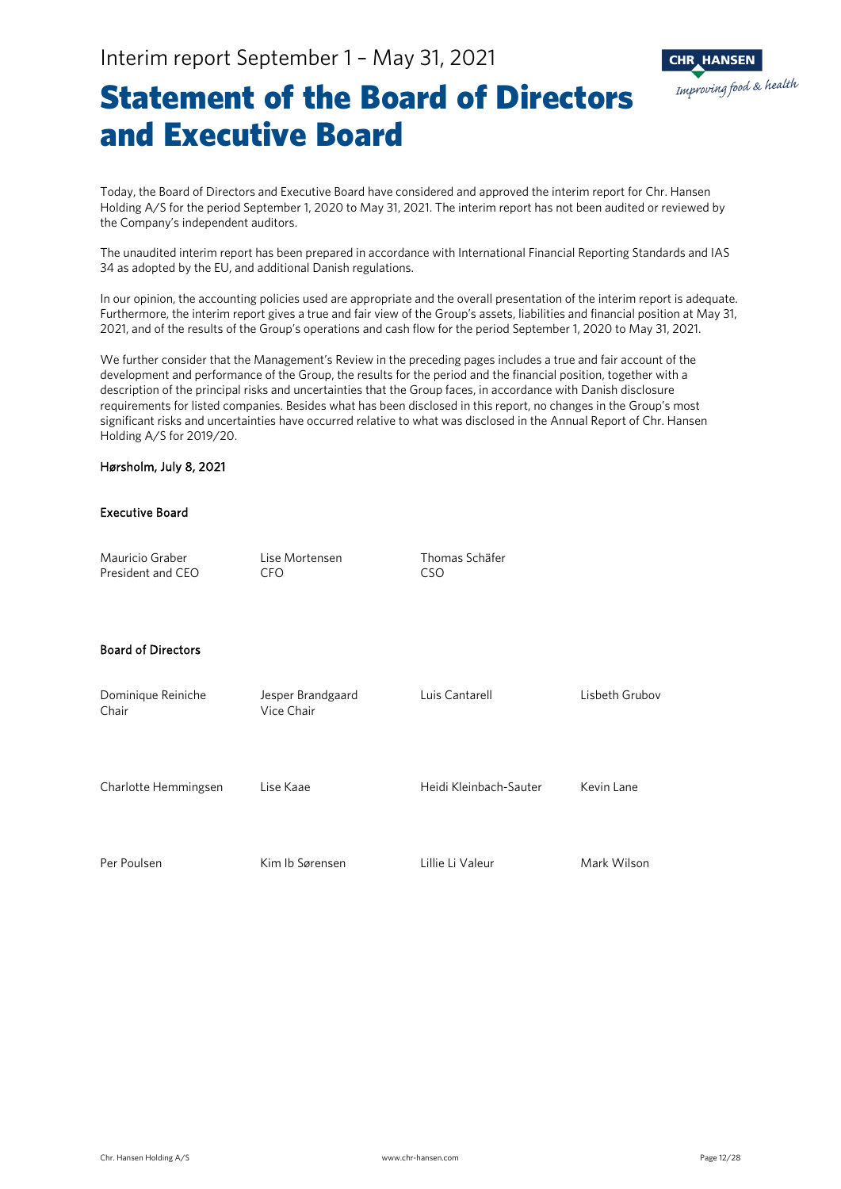

### Statement of the Board of Directors and Executive Board

Today, the Board of Directors and Executive Board have considered and approved the interim report for Chr. Hansen Holding A/S for the period September 1, 2020 to May 31, 2021. The interim report has not been audited or reviewed by the Company's independent auditors.

The unaudited interim report has been prepared in accordance with International Financial Reporting Standards and IAS 34 as adopted by the EU, and additional Danish regulations.

In our opinion, the accounting policies used are appropriate and the overall presentation of the interim report is adequate. Furthermore, the interim report gives a true and fair view of the Group's assets, liabilities and financial position at May 31, 2021, and of the results of the Group's operations and cash flow for the period September 1, 2020 to May 31, 2021.

We further consider that the Management's Review in the preceding pages includes a true and fair account of the development and performance of the Group, the results for the period and the financial position, together with a description of the principal risks and uncertainties that the Group faces, in accordance with Danish disclosure requirements for listed companies. Besides what has been disclosed in this report, no changes in the Group's most significant risks and uncertainties have occurred relative to what was disclosed in the Annual Report of Chr. Hansen Holding A/S for 2019/20.

### Hørsholm, July 8, 2021

#### Executive Board

| Mauricio Graber<br>President and CEO | Lise Mortensen<br><b>CFO</b>    | Thomas Schäfer<br><b>CSO</b> |                |
|--------------------------------------|---------------------------------|------------------------------|----------------|
| <b>Board of Directors</b>            |                                 |                              |                |
| Dominique Reiniche<br>Chair          | Jesper Brandgaard<br>Vice Chair | Luis Cantarell               | Lisbeth Grubov |
| Charlotte Hemmingsen                 | Lise Kaae                       | Heidi Kleinbach-Sauter       | Kevin Lane     |
| Per Poulsen                          | Kim Ib Sørensen                 | Lillie Li Valeur             | Mark Wilson    |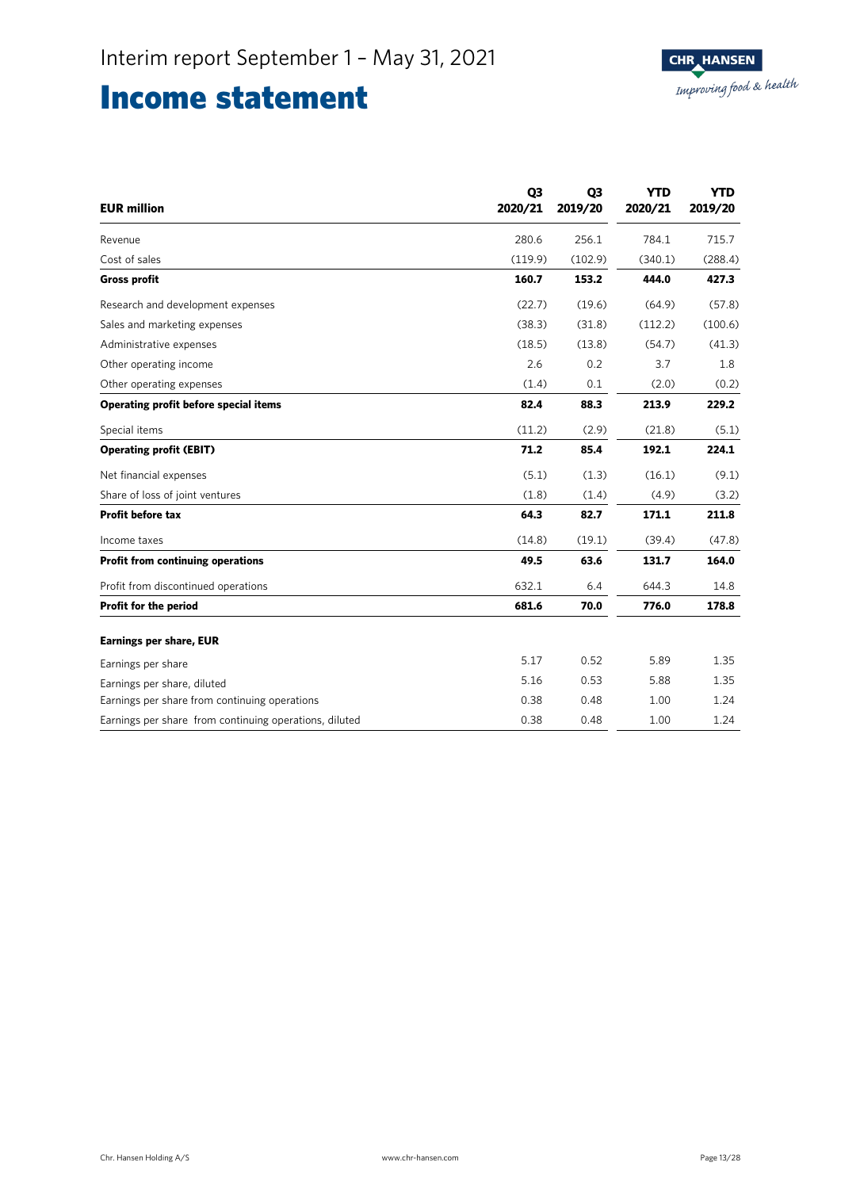### Income statement

| <b>EUR</b> million                                     | Q <sub>3</sub><br>2020/21 | Q <sub>3</sub><br>2019/20 | <b>YTD</b><br>2020/21 | <b>YTD</b><br>2019/20 |
|--------------------------------------------------------|---------------------------|---------------------------|-----------------------|-----------------------|
| Revenue                                                | 280.6                     | 256.1                     | 784.1                 | 715.7                 |
| Cost of sales                                          | (119.9)                   | (102.9)                   | (340.1)               | (288.4)               |
| <b>Gross profit</b>                                    | 160.7                     | 153.2                     | 444.0                 | 427.3                 |
| Research and development expenses                      | (22.7)                    | (19.6)                    | (64.9)                | (57.8)                |
| Sales and marketing expenses                           | (38.3)                    | (31.8)                    | (112.2)               | (100.6)               |
| Administrative expenses                                | (18.5)                    | (13.8)                    | (54.7)                | (41.3)                |
| Other operating income                                 | 2.6                       | 0.2                       | 3.7                   | 1.8                   |
| Other operating expenses                               | (1.4)                     | 0.1                       | (2.0)                 | (0.2)                 |
| <b>Operating profit before special items</b>           | 82.4                      | 88.3                      | 213.9                 | 229.2                 |
| Special items                                          | (11.2)                    | (2.9)                     | (21.8)                | (5.1)                 |
| <b>Operating profit (EBIT)</b>                         | 71.2                      | 85.4                      | 192.1                 | 224.1                 |
| Net financial expenses                                 | (5.1)                     | (1.3)                     | (16.1)                | (9.1)                 |
| Share of loss of joint ventures                        | (1.8)                     | (1.4)                     | (4.9)                 | (3.2)                 |
| <b>Profit before tax</b>                               | 64.3                      | 82.7                      | 171.1                 | 211.8                 |
| Income taxes                                           | (14.8)                    | (19.1)                    | (39.4)                | (47.8)                |
| <b>Profit from continuing operations</b>               | 49.5                      | 63.6                      | 131.7                 | 164.0                 |
| Profit from discontinued operations                    | 632.1                     | 6.4                       | 644.3                 | 14.8                  |
| Profit for the period                                  | 681.6                     | 70.0                      | 776.0                 | 178.8                 |
| <b>Earnings per share, EUR</b>                         |                           |                           |                       |                       |
| Earnings per share                                     | 5.17                      | 0.52                      | 5.89                  | 1.35                  |
| Earnings per share, diluted                            | 5.16                      | 0.53                      | 5.88                  | 1.35                  |
| Earnings per share from continuing operations          | 0.38                      | 0.48                      | 1.00                  | 1.24                  |
| Earnings per share from continuing operations, diluted | 0.38                      | 0.48                      | 1.00                  | 1.24                  |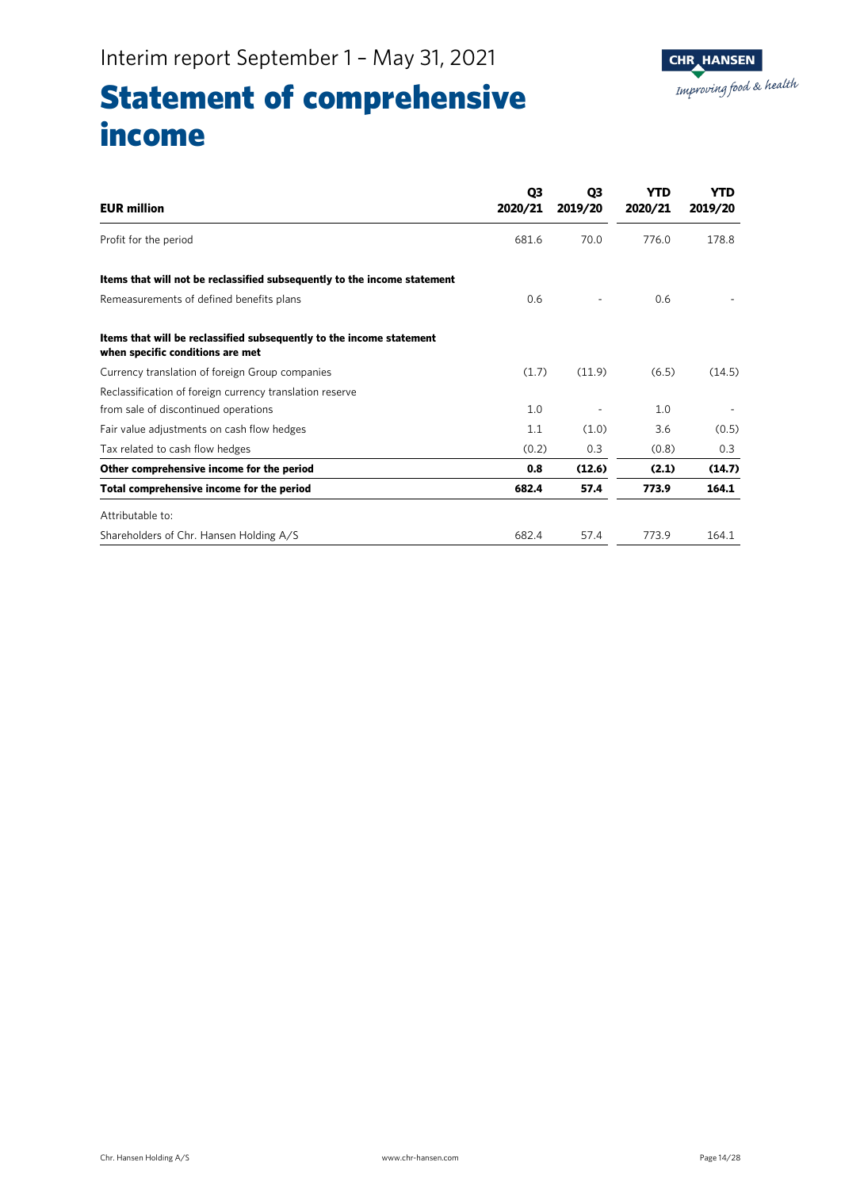

## Statement of comprehensive income

| <b>EUR million</b>                                                                                       | Q <sub>3</sub><br>2020/21 | Q3<br>2019/20 | YTD<br>2020/21 | <b>YTD</b><br>2019/20 |
|----------------------------------------------------------------------------------------------------------|---------------------------|---------------|----------------|-----------------------|
| Profit for the period                                                                                    | 681.6                     | 70.0          | 776.0          | 178.8                 |
| Items that will not be reclassified subsequently to the income statement                                 |                           |               |                |                       |
| Remeasurements of defined benefits plans                                                                 | 0.6                       |               | 0.6            |                       |
| Items that will be reclassified subsequently to the income statement<br>when specific conditions are met |                           |               |                |                       |
| Currency translation of foreign Group companies                                                          | (1.7)                     | (11.9)        | (6.5)          | (14.5)                |
| Reclassification of foreign currency translation reserve                                                 |                           |               |                |                       |
| from sale of discontinued operations                                                                     | 1.0                       |               | 1.0            |                       |
| Fair value adjustments on cash flow hedges                                                               | 1.1                       | (1.0)         | 3.6            | (0.5)                 |
| Tax related to cash flow hedges                                                                          | (0.2)                     | 0.3           | (0.8)          | 0.3                   |
| Other comprehensive income for the period                                                                | 0.8                       | (12.6)        | (2.1)          | (14.7)                |
| Total comprehensive income for the period                                                                | 682.4                     | 57.4          | 773.9          | 164.1                 |
| Attributable to:                                                                                         |                           |               |                |                       |
| Shareholders of Chr. Hansen Holding A/S                                                                  | 682.4                     | 57.4          | 773.9          | 164.1                 |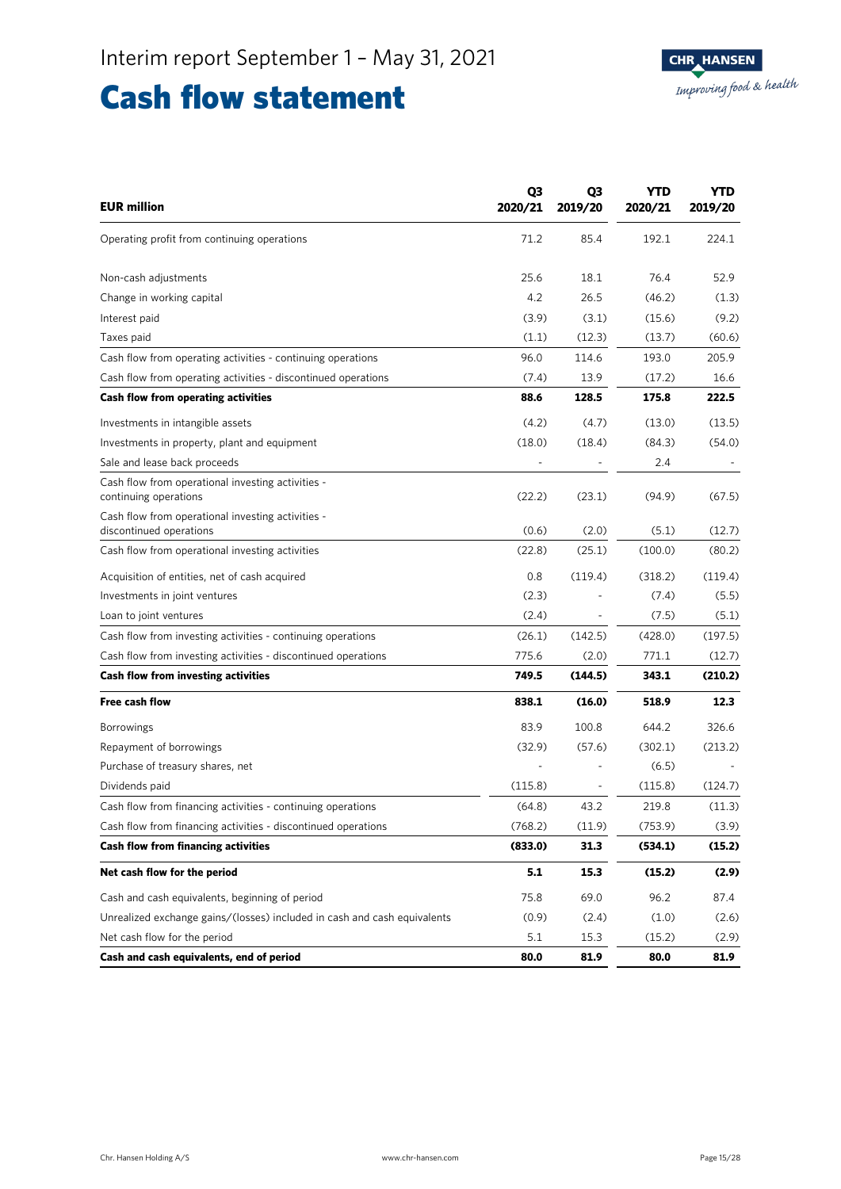### Cash flow statement

| <b>EUR million</b>                                                           | Q3<br>2020/21            | Q3<br>2019/20 | YTD<br>2020/21 | <b>YTD</b><br>2019/20 |
|------------------------------------------------------------------------------|--------------------------|---------------|----------------|-----------------------|
| Operating profit from continuing operations                                  | 71.2                     | 85.4          | 192.1          | 224.1                 |
| Non-cash adjustments                                                         | 25.6                     | 18.1          | 76.4           | 52.9                  |
| Change in working capital                                                    | 4.2                      | 26.5          | (46.2)         | (1.3)                 |
| Interest paid                                                                | (3.9)                    | (3.1)         | (15.6)         | (9.2)                 |
| Taxes paid                                                                   | (1.1)                    | (12.3)        | (13.7)         | (60.6)                |
| Cash flow from operating activities - continuing operations                  | 96.0                     | 114.6         | 193.0          | 205.9                 |
| Cash flow from operating activities - discontinued operations                | (7.4)                    | 13.9          | (17.2)         | 16.6                  |
| Cash flow from operating activities                                          | 88.6                     | 128.5         | 175.8          | 222.5                 |
| Investments in intangible assets                                             | (4.2)                    | (4.7)         | (13.0)         | (13.5)                |
| Investments in property, plant and equipment                                 | (18.0)                   | (18.4)        | (84.3)         | (54.0)                |
| Sale and lease back proceeds                                                 | $\overline{\phantom{a}}$ |               | 2.4            |                       |
| Cash flow from operational investing activities -<br>continuing operations   | (22.2)                   | (23.1)        | (94.9)         | (67.5)                |
| Cash flow from operational investing activities -<br>discontinued operations | (0.6)                    | (2.0)         | (5.1)          | (12.7)                |
| Cash flow from operational investing activities                              | (22.8)                   | (25.1)        | (100.0)        | (80.2)                |
| Acquisition of entities, net of cash acquired                                | 0.8                      | (119.4)       | (318.2)        | (119.4)               |
| Investments in joint ventures                                                | (2.3)                    |               | (7.4)          | (5.5)                 |
| Loan to joint ventures                                                       | (2.4)                    |               | (7.5)          | (5.1)                 |
| Cash flow from investing activities - continuing operations                  | (26.1)                   | (142.5)       | (428.0)        | (197.5)               |
| Cash flow from investing activities - discontinued operations                | 775.6                    | (2.0)         | 771.1          | (12.7)                |
| <b>Cash flow from investing activities</b>                                   | 749.5                    | (144.5)       | 343.1          | (210.2)               |
| Free cash flow                                                               | 838.1                    | (16.0)        | 518.9          | 12.3                  |
| <b>Borrowings</b>                                                            | 83.9                     | 100.8         | 644.2          | 326.6                 |
| Repayment of borrowings                                                      | (32.9)                   | (57.6)        | (302.1)        | (213.2)               |
| Purchase of treasury shares, net                                             |                          |               | (6.5)          |                       |
| Dividends paid                                                               | (115.8)                  |               | (115.8)        | (124.7)               |
| Cash flow from financing activities - continuing operations                  | (64.8)                   | 43.2          | 219.8          | (11.3)                |
| Cash flow from financing activities - discontinued operations                | (768.2)                  | (11.9)        | (753.9)        | (3.9)                 |
| <b>Cash flow from financing activities</b>                                   | (833.0)                  | 31.3          | (534.1)        | (15.2)                |
| Net cash flow for the period                                                 | 5.1                      | 15.3          | (15.2)         | (2.9)                 |
| Cash and cash equivalents, beginning of period                               | 75.8                     | 69.0          | 96.2           | 87.4                  |
| Unrealized exchange gains/(losses) included in cash and cash equivalents     | (0.9)                    | (2.4)         | (1.0)          | (2.6)                 |
| Net cash flow for the period                                                 | 5.1                      | 15.3          | (15.2)         | (2.9)                 |
| Cash and cash equivalents, end of period                                     | 80.0                     | 81.9          | 80.0           | 81.9                  |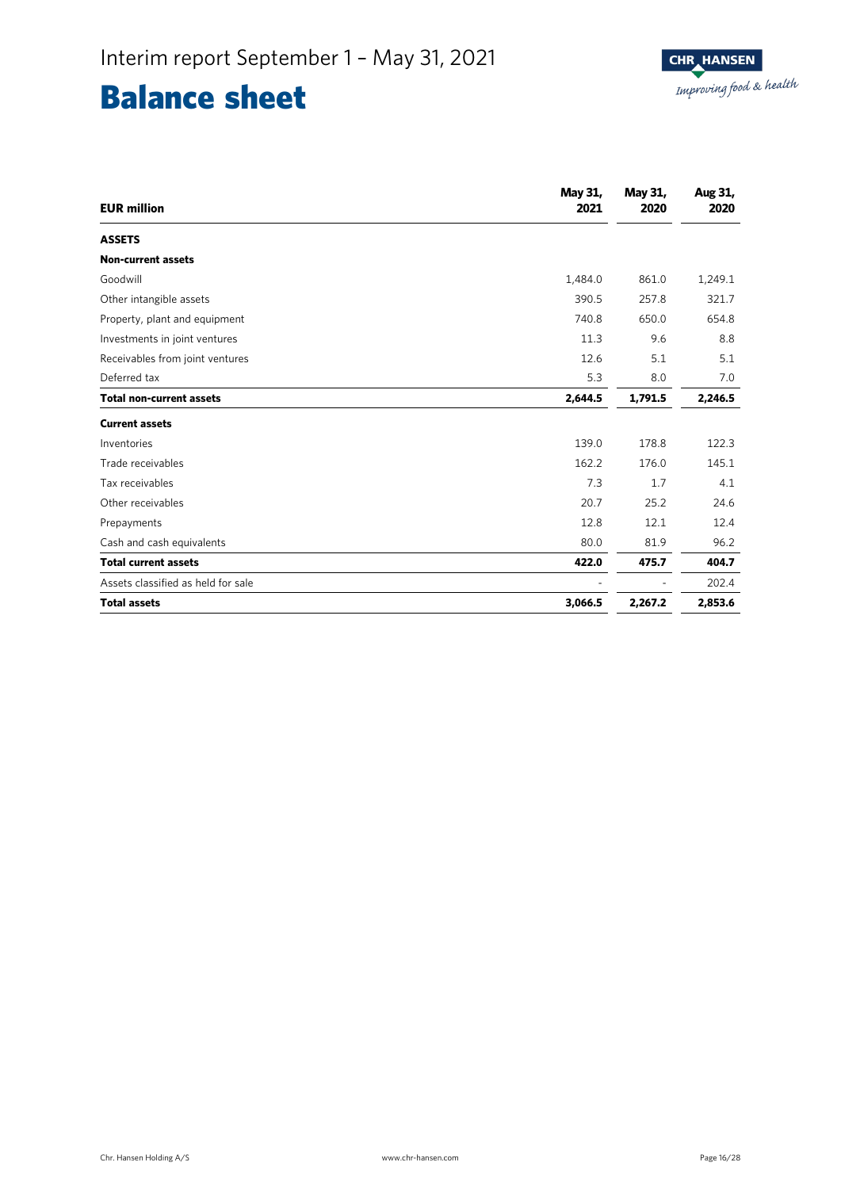### Balance sheet

| <b>EUR</b> million                 | May 31,<br>2021 | May 31,<br>2020 | Aug 31,<br>2020 |
|------------------------------------|-----------------|-----------------|-----------------|
| <b>ASSETS</b>                      |                 |                 |                 |
| <b>Non-current assets</b>          |                 |                 |                 |
| Goodwill                           | 1,484.0         | 861.0           | 1,249.1         |
| Other intangible assets            | 390.5           | 257.8           | 321.7           |
| Property, plant and equipment      | 740.8           | 650.0           | 654.8           |
| Investments in joint ventures      | 11.3            | 9.6             | 8.8             |
| Receivables from joint ventures    | 12.6            | 5.1             | 5.1             |
| Deferred tax                       | 5.3             | 8.0             | 7.0             |
| <b>Total non-current assets</b>    | 2,644.5         | 1,791.5         | 2,246.5         |
| <b>Current assets</b>              |                 |                 |                 |
| Inventories                        | 139.0           | 178.8           | 122.3           |
| Trade receivables                  | 162.2           | 176.0           | 145.1           |
| Tax receivables                    | 7.3             | 1.7             | 4.1             |
| Other receivables                  | 20.7            | 25.2            | 24.6            |
| Prepayments                        | 12.8            | 12.1            | 12.4            |
| Cash and cash equivalents          | 80.0            | 81.9            | 96.2            |
| <b>Total current assets</b>        | 422.0           | 475.7           | 404.7           |
| Assets classified as held for sale |                 |                 | 202.4           |
| <b>Total assets</b>                | 3,066.5         | 2,267.2         | 2,853.6         |

Ī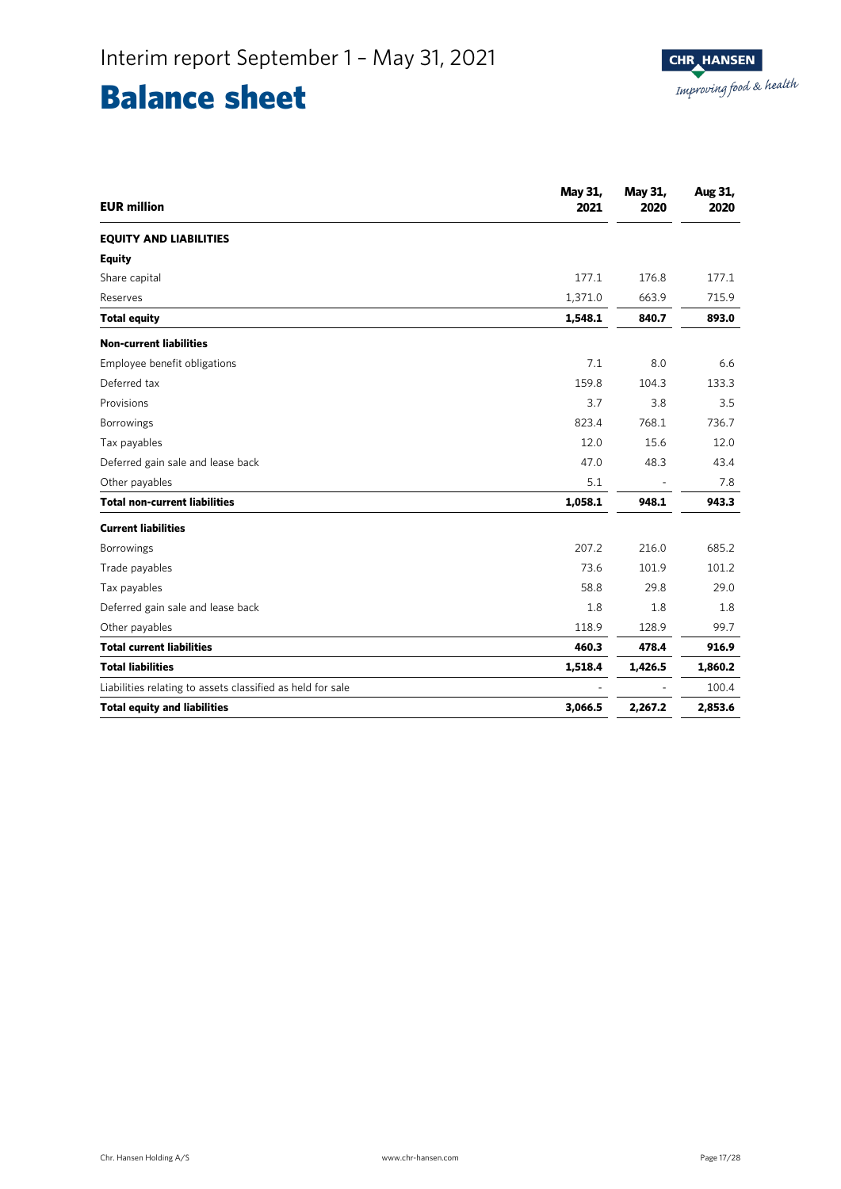## Balance sheet

| <b>EUR million</b>                                         | May 31,<br>2021 | May 31,<br>2020 | Aug 31,<br>2020 |
|------------------------------------------------------------|-----------------|-----------------|-----------------|
| <b>EQUITY AND LIABILITIES</b>                              |                 |                 |                 |
| <b>Equity</b>                                              |                 |                 |                 |
| Share capital                                              | 177.1           | 176.8           | 177.1           |
| Reserves                                                   | 1,371.0         | 663.9           | 715.9           |
| <b>Total equity</b>                                        | 1,548.1         | 840.7           | 893.0           |
| <b>Non-current liabilities</b>                             |                 |                 |                 |
| Employee benefit obligations                               | 7.1             | 8.0             | 6.6             |
| Deferred tax                                               | 159.8           | 104.3           | 133.3           |
| Provisions                                                 | 3.7             | 3.8             | 3.5             |
| Borrowings                                                 | 823.4           | 768.1           | 736.7           |
| Tax payables                                               | 12.0            | 15.6            | 12.0            |
| Deferred gain sale and lease back                          | 47.0            | 48.3            | 43.4            |
| Other payables                                             | 5.1             |                 | 7.8             |
| <b>Total non-current liabilities</b>                       | 1,058.1         | 948.1           | 943.3           |
| <b>Current liabilities</b>                                 |                 |                 |                 |
| <b>Borrowings</b>                                          | 207.2           | 216.0           | 685.2           |
| Trade payables                                             | 73.6            | 101.9           | 101.2           |
| Tax payables                                               | 58.8            | 29.8            | 29.0            |
| Deferred gain sale and lease back                          | 1.8             | 1.8             | 1.8             |
| Other payables                                             | 118.9           | 128.9           | 99.7            |
| <b>Total current liabilities</b>                           | 460.3           | 478.4           | 916.9           |
| <b>Total liabilities</b>                                   | 1,518.4         | 1,426.5         | 1,860.2         |
| Liabilities relating to assets classified as held for sale |                 |                 | 100.4           |
| <b>Total equity and liabilities</b>                        | 3,066.5         | 2,267.2         | 2,853.6         |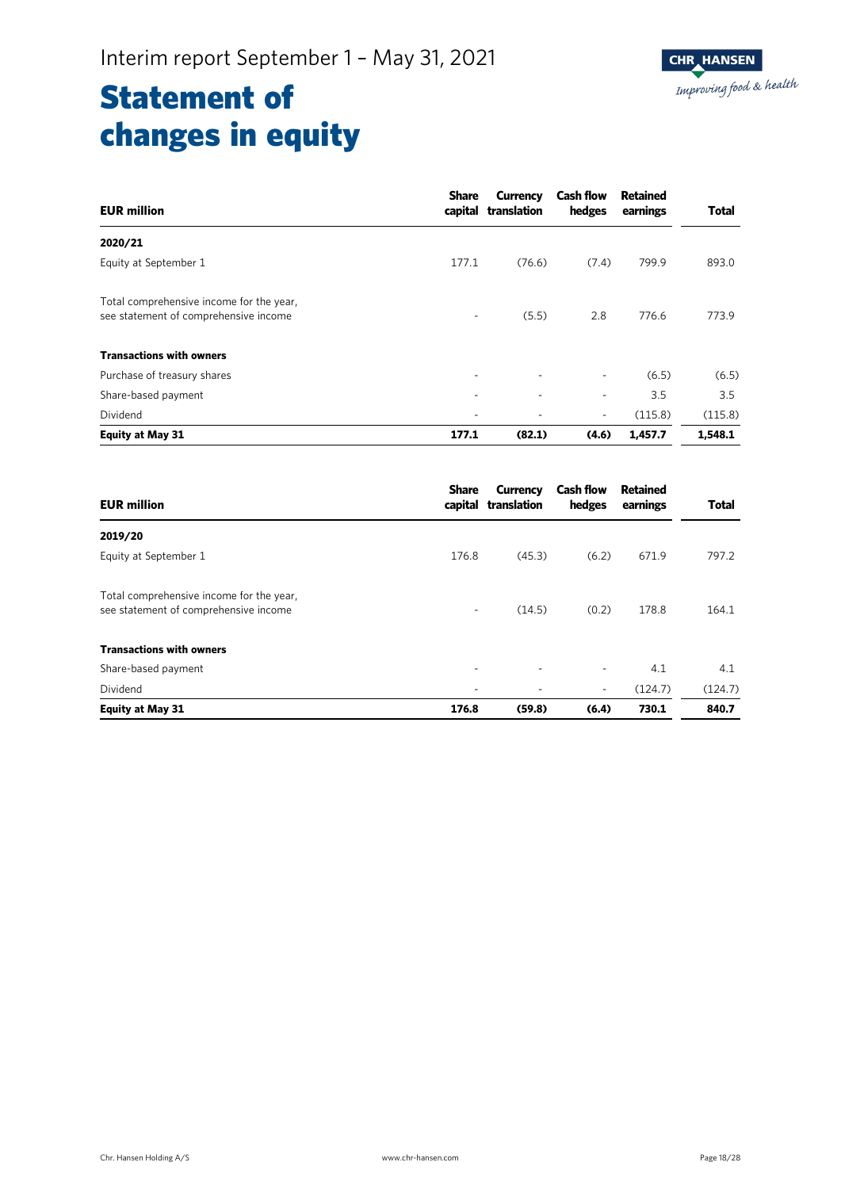## Statement of changes in equity

| <b>EUR million</b>                                                                | <b>Share</b> | Currency<br>capital translation | <b>Cash flow</b><br>hedges | Retained<br>earnings | <b>Total</b> |
|-----------------------------------------------------------------------------------|--------------|---------------------------------|----------------------------|----------------------|--------------|
| 2020/21                                                                           |              |                                 |                            |                      |              |
| Equity at September 1                                                             | 177.1        | (76.6)                          | (7.4)                      | 799.9                | 893.0        |
| Total comprehensive income for the year,<br>see statement of comprehensive income | ٠            | (5.5)                           | 2.8                        | 776.6                | 773.9        |
| <b>Transactions with owners</b>                                                   |              |                                 |                            |                      |              |
| Purchase of treasury shares                                                       | ٠            | ٠                               | $\overline{\phantom{a}}$   | (6.5)                | (6.5)        |
| Share-based payment                                                               | ۰            | ٠                               | ٠                          | 3.5                  | 3.5          |
| Dividend                                                                          | -            | ٠                               | $\overline{\phantom{a}}$   | (115.8)              | (115.8)      |
| <b>Equity at May 31</b>                                                           | 177.1        | (82.1)                          | (4.6)                      | 1,457.7              | 1,548.1      |

| <b>EUR million</b>                                                                | <b>Share</b>             | Currency<br>capital translation | <b>Cash flow</b><br>hedges | Retained<br>earnings | <b>Total</b> |
|-----------------------------------------------------------------------------------|--------------------------|---------------------------------|----------------------------|----------------------|--------------|
| 2019/20                                                                           |                          |                                 |                            |                      |              |
| Equity at September 1                                                             | 176.8                    | (45.3)                          | (6.2)                      | 671.9                | 797.2        |
| Total comprehensive income for the year,<br>see statement of comprehensive income | ۰.                       | (14.5)                          | (0.2)                      | 178.8                | 164.1        |
| <b>Transactions with owners</b>                                                   |                          |                                 |                            |                      |              |
| Share-based payment                                                               | $\overline{\phantom{a}}$ | ٠                               | $\overline{\phantom{a}}$   | 4.1                  | 4.1          |
| Dividend                                                                          | $\overline{\phantom{a}}$ | ٠                               | $\overline{\phantom{a}}$   | (124.7)              | (124.7)      |
| <b>Equity at May 31</b>                                                           | 176.8                    | (59.8)                          | (6.4)                      | 730.1                | 840.7        |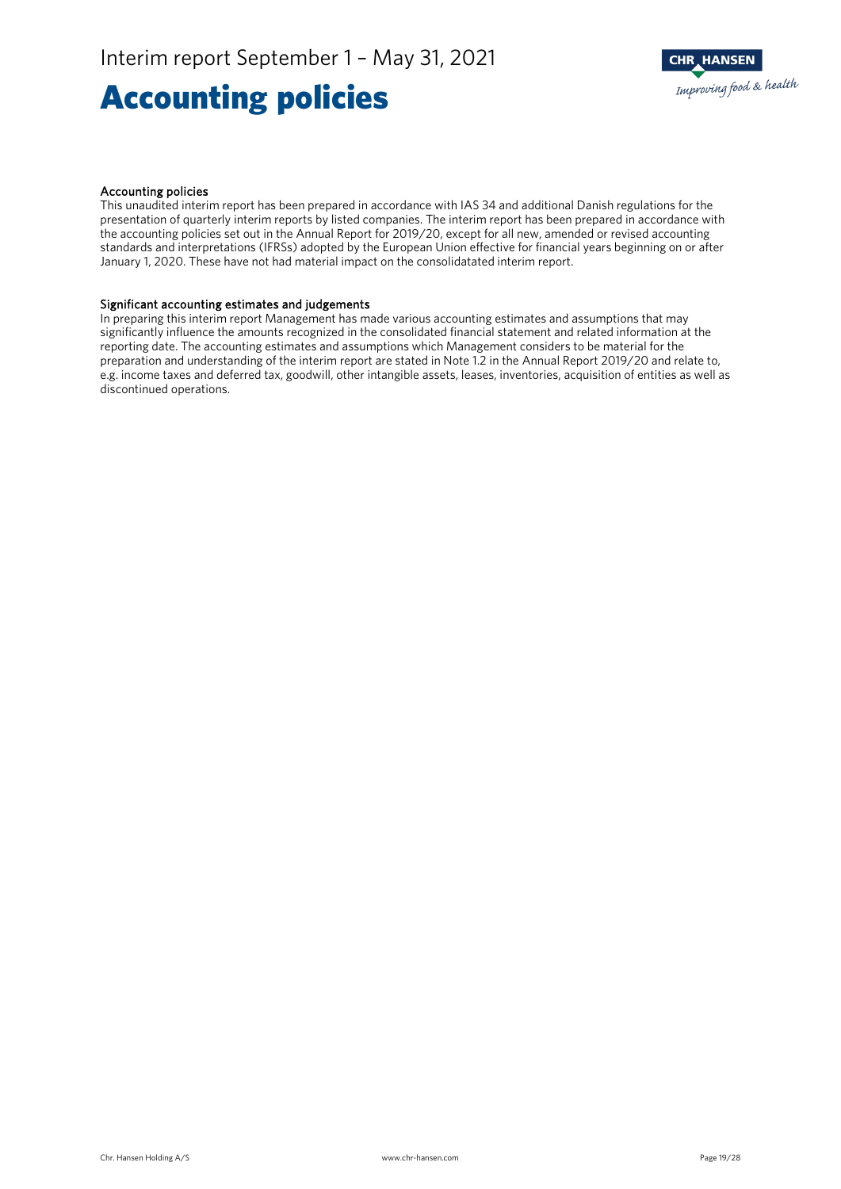### Accounting policies



#### Accounting policies

This unaudited interim report has been prepared in accordance with IAS 34 and additional Danish regulations for the presentation of quarterly interim reports by listed companies. The interim report has been prepared in accordance with the accounting policies set out in the Annual Report for 2019/20, except for all new, amended or revised accounting standards and interpretations (IFRSs) adopted by the European Union effective for financial years beginning on or after January 1, 2020. These have not had material impact on the consolidatated interim report.

#### Significant accounting estimates and judgements

In preparing this interim report Management has made various accounting estimates and assumptions that may significantly influence the amounts recognized in the consolidated financial statement and related information at the reporting date. The accounting estimates and assumptions which Management considers to be material for the preparation and understanding of the interim report are stated in Note 1.2 in the Annual Report 2019/20 and relate to, e.g. income taxes and deferred tax, goodwill, other intangible assets, leases, inventories, acquisition of entities as well as discontinued operations.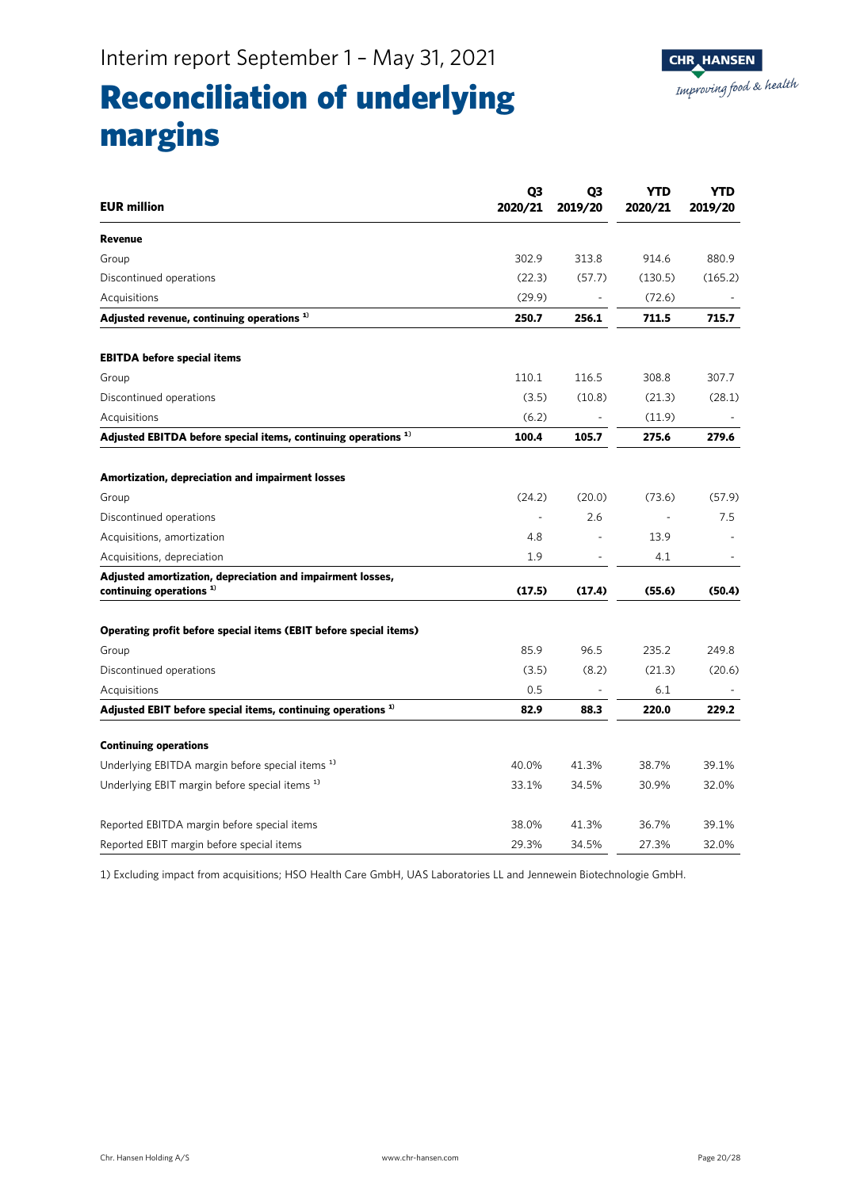

### Reconciliation of underlying margins

| <b>EUR million</b>                                                                      | Q <sub>3</sub><br>2020/21 | Q3<br>2019/20  | <b>YTD</b><br>2020/21 | YTD<br>2019/20 |
|-----------------------------------------------------------------------------------------|---------------------------|----------------|-----------------------|----------------|
| Revenue                                                                                 |                           |                |                       |                |
| Group                                                                                   | 302.9                     | 313.8          | 914.6                 | 880.9          |
| Discontinued operations                                                                 | (22.3)                    | (57.7)         | (130.5)               | (165.2)        |
| Acquisitions                                                                            | (29.9)                    |                | (72.6)                |                |
| Adjusted revenue, continuing operations <sup>1)</sup>                                   | 250.7                     | 256.1          | 711.5                 | 715.7          |
| <b>EBITDA before special items</b>                                                      |                           |                |                       |                |
| Group                                                                                   | 110.1                     | 116.5          | 308.8                 | 307.7          |
| Discontinued operations                                                                 | (3.5)                     | (10.8)         | (21.3)                | (28.1)         |
| Acquisitions                                                                            | (6.2)                     |                | (11.9)                |                |
| Adjusted EBITDA before special items, continuing operations <sup>1)</sup>               | 100.4                     | 105.7          | 275.6                 | 279.6          |
| Amortization, depreciation and impairment losses                                        |                           |                |                       |                |
| Group                                                                                   | (24.2)                    | (20.0)         | (73.6)                | (57.9)         |
| Discontinued operations                                                                 |                           | 2.6            |                       | 7.5            |
| Acquisitions, amortization                                                              | 4.8                       |                | 13.9                  |                |
| Acquisitions, depreciation                                                              | 1.9                       | $\overline{a}$ | 4.1                   |                |
| Adjusted amortization, depreciation and impairment losses,<br>continuing operations $1$ | (17.5)                    | (17.4)         | (55.6)                | (50.4)         |
| Operating profit before special items (EBIT before special items)                       |                           |                |                       |                |
| Group                                                                                   | 85.9                      | 96.5           | 235.2                 | 249.8          |
| Discontinued operations                                                                 | (3.5)                     | (8.2)          | (21.3)                | (20.6)         |
| Acquisitions                                                                            | 0.5                       |                | 6.1                   |                |
| Adjusted EBIT before special items, continuing operations <sup>1)</sup>                 | 82.9                      | 88.3           | 220.0                 | 229.2          |
| <b>Continuing operations</b>                                                            |                           |                |                       |                |
| Underlying EBITDA margin before special items <sup>1)</sup>                             | 40.0%                     | 41.3%          | 38.7%                 | 39.1%          |
| Underlying EBIT margin before special items <sup>1)</sup>                               | 33.1%                     | 34.5%          | 30.9%                 | 32.0%          |
| Reported EBITDA margin before special items                                             | 38.0%                     | 41.3%          | 36.7%                 | 39.1%          |
| Reported EBIT margin before special items                                               | 29.3%                     | 34.5%          | 27.3%                 | 32.0%          |

1) Excluding impact from acquisitions; HSO Health Care GmbH, UAS Laboratories LL and Jennewein Biotechnologie GmbH.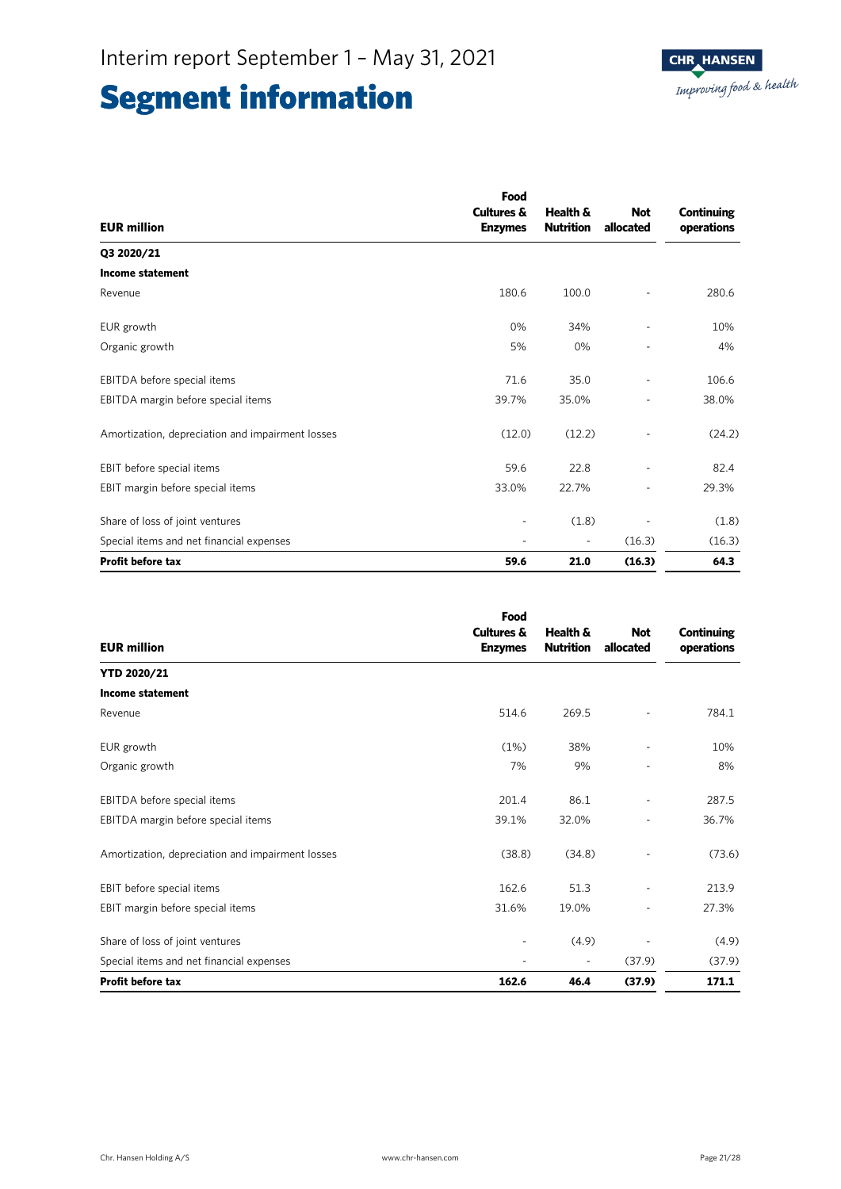|                                                  | Food                  |                          |            |                   |
|--------------------------------------------------|-----------------------|--------------------------|------------|-------------------|
|                                                  | <b>Cultures &amp;</b> | Health &                 | <b>Not</b> | <b>Continuing</b> |
| <b>EUR million</b>                               | <b>Enzymes</b>        | <b>Nutrition</b>         | allocated  | operations        |
| Q3 2020/21                                       |                       |                          |            |                   |
| <b>Income statement</b>                          |                       |                          |            |                   |
| Revenue                                          | 180.6                 | 100.0                    |            | 280.6             |
| EUR growth                                       | 0%                    | 34%                      |            | 10%               |
| Organic growth                                   | 5%                    | 0%                       |            | 4%                |
| EBITDA before special items                      | 71.6                  | 35.0                     |            | 106.6             |
| EBITDA margin before special items               | 39.7%                 | 35.0%                    |            | 38.0%             |
| Amortization, depreciation and impairment losses | (12.0)                | (12.2)                   |            | (24.2)            |
| EBIT before special items                        | 59.6                  | 22.8                     |            | 82.4              |
| EBIT margin before special items                 | 33.0%                 | 22.7%                    | -          | 29.3%             |
| Share of loss of joint ventures                  |                       | (1.8)                    |            | (1.8)             |
| Special items and net financial expenses         |                       | $\overline{\phantom{a}}$ | (16.3)     | (16.3)            |
| <b>Profit before tax</b>                         | 59.6                  | 21.0                     | (16.3)     | 64.3              |

|                                                  | Food                                    |                              |                         |                                 |
|--------------------------------------------------|-----------------------------------------|------------------------------|-------------------------|---------------------------------|
| <b>EUR million</b>                               | <b>Cultures &amp;</b><br><b>Enzymes</b> | Health &<br><b>Nutrition</b> | <b>Not</b><br>allocated | <b>Continuing</b><br>operations |
| <b>YTD 2020/21</b>                               |                                         |                              |                         |                                 |
| <b>Income statement</b>                          |                                         |                              |                         |                                 |
| Revenue                                          | 514.6                                   | 269.5                        |                         | 784.1                           |
| EUR growth                                       | (1%)                                    | 38%                          |                         | 10%                             |
| Organic growth                                   | 7%                                      | 9%                           |                         | 8%                              |
| EBITDA before special items                      | 201.4                                   | 86.1                         |                         | 287.5                           |
| EBITDA margin before special items               | 39.1%                                   | 32.0%                        |                         | 36.7%                           |
| Amortization, depreciation and impairment losses | (38.8)                                  | (34.8)                       |                         | (73.6)                          |
| EBIT before special items                        | 162.6                                   | 51.3                         |                         | 213.9                           |
| EBIT margin before special items                 | 31.6%                                   | 19.0%                        |                         | 27.3%                           |
| Share of loss of joint ventures                  |                                         | (4.9)                        |                         | (4.9)                           |
| Special items and net financial expenses         |                                         | $\overline{\phantom{a}}$     | (37.9)                  | (37.9)                          |
| <b>Profit before tax</b>                         | 162.6                                   | 46.4                         | (37.9)                  | 171.1                           |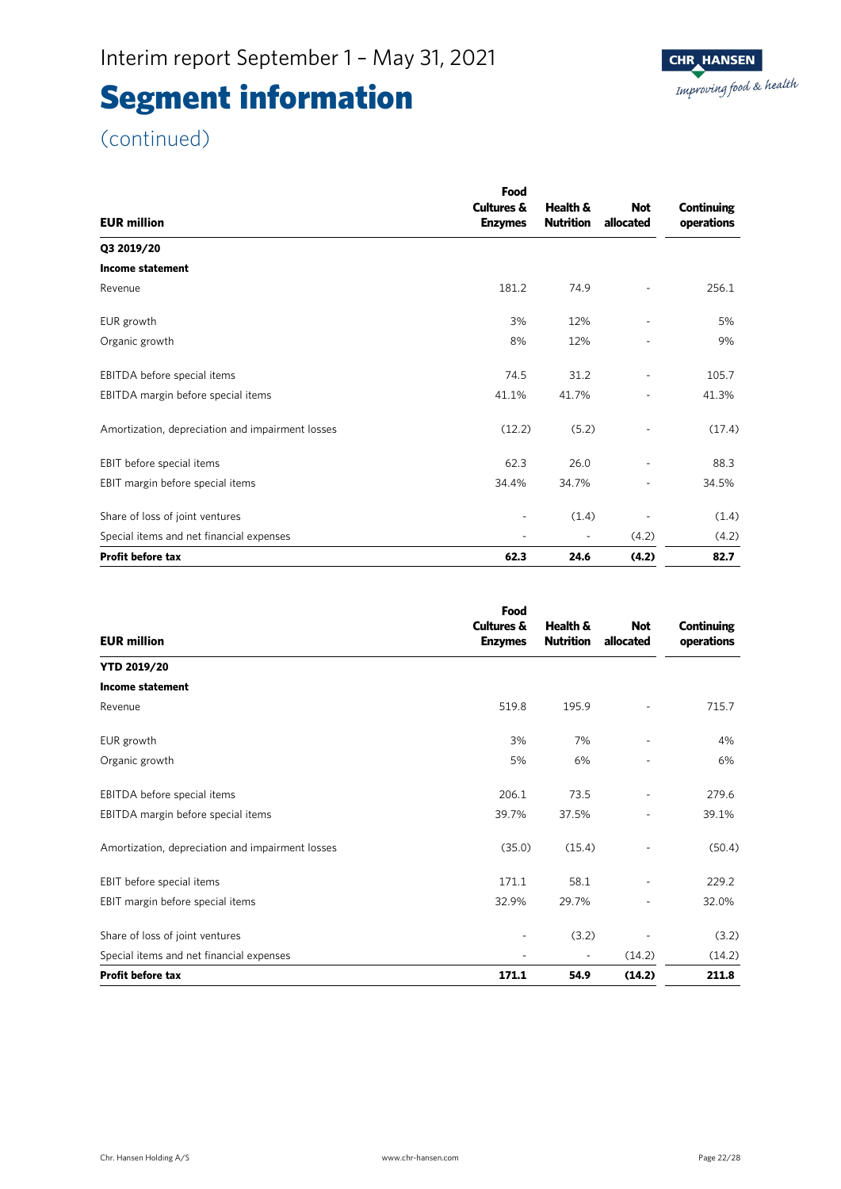### (continued)

|                                                  | Food                     |                  |            |            |
|--------------------------------------------------|--------------------------|------------------|------------|------------|
|                                                  | <b>Cultures &amp;</b>    | Health &         | <b>Not</b> | Continuing |
| <b>EUR million</b>                               | <b>Enzymes</b>           | <b>Nutrition</b> | allocated  | operations |
| Q3 2019/20                                       |                          |                  |            |            |
| <b>Income statement</b>                          |                          |                  |            |            |
| Revenue                                          | 181.2                    | 74.9             |            | 256.1      |
| EUR growth                                       | 3%                       | 12%              |            | 5%         |
| Organic growth                                   | 8%                       | 12%              |            | 9%         |
| EBITDA before special items                      | 74.5                     | 31.2             | ٠          | 105.7      |
| EBITDA margin before special items               | 41.1%                    | 41.7%            | -          | 41.3%      |
| Amortization, depreciation and impairment losses | (12.2)                   | (5.2)            |            | (17.4)     |
| EBIT before special items                        | 62.3                     | 26.0             |            | 88.3       |
| EBIT margin before special items                 | 34.4%                    | 34.7%            |            | 34.5%      |
| Share of loss of joint ventures                  | $\overline{\phantom{0}}$ | (1.4)            |            | (1.4)      |
| Special items and net financial expenses         | $\overline{\phantom{a}}$ |                  | (4.2)      | (4.2)      |
| <b>Profit before tax</b>                         | 62.3                     | 24.6             | (4.2)      | 82.7       |

|                                                  | Food<br><b>Cultures &amp;</b> | Health &         | <b>Not</b> | Continuing |
|--------------------------------------------------|-------------------------------|------------------|------------|------------|
| <b>EUR million</b>                               | <b>Enzymes</b>                | <b>Nutrition</b> | allocated  | operations |
| <b>YTD 2019/20</b>                               |                               |                  |            |            |
| <b>Income statement</b>                          |                               |                  |            |            |
| Revenue                                          | 519.8                         | 195.9            |            | 715.7      |
| EUR growth                                       | 3%                            | 7%               |            | 4%         |
| Organic growth                                   | 5%                            | 6%               |            | 6%         |
| EBITDA before special items                      | 206.1                         | 73.5             |            | 279.6      |
| EBITDA margin before special items               | 39.7%                         | 37.5%            |            | 39.1%      |
| Amortization, depreciation and impairment losses | (35.0)                        | (15.4)           |            | (50.4)     |
| EBIT before special items                        | 171.1                         | 58.1             |            | 229.2      |
| EBIT margin before special items                 | 32.9%                         | 29.7%            |            | 32.0%      |
| Share of loss of joint ventures                  | ۰                             | (3.2)            |            | (3.2)      |
| Special items and net financial expenses         |                               |                  | (14.2)     | (14.2)     |
| <b>Profit before tax</b>                         | 171.1                         | 54.9             | (14.2)     | 211.8      |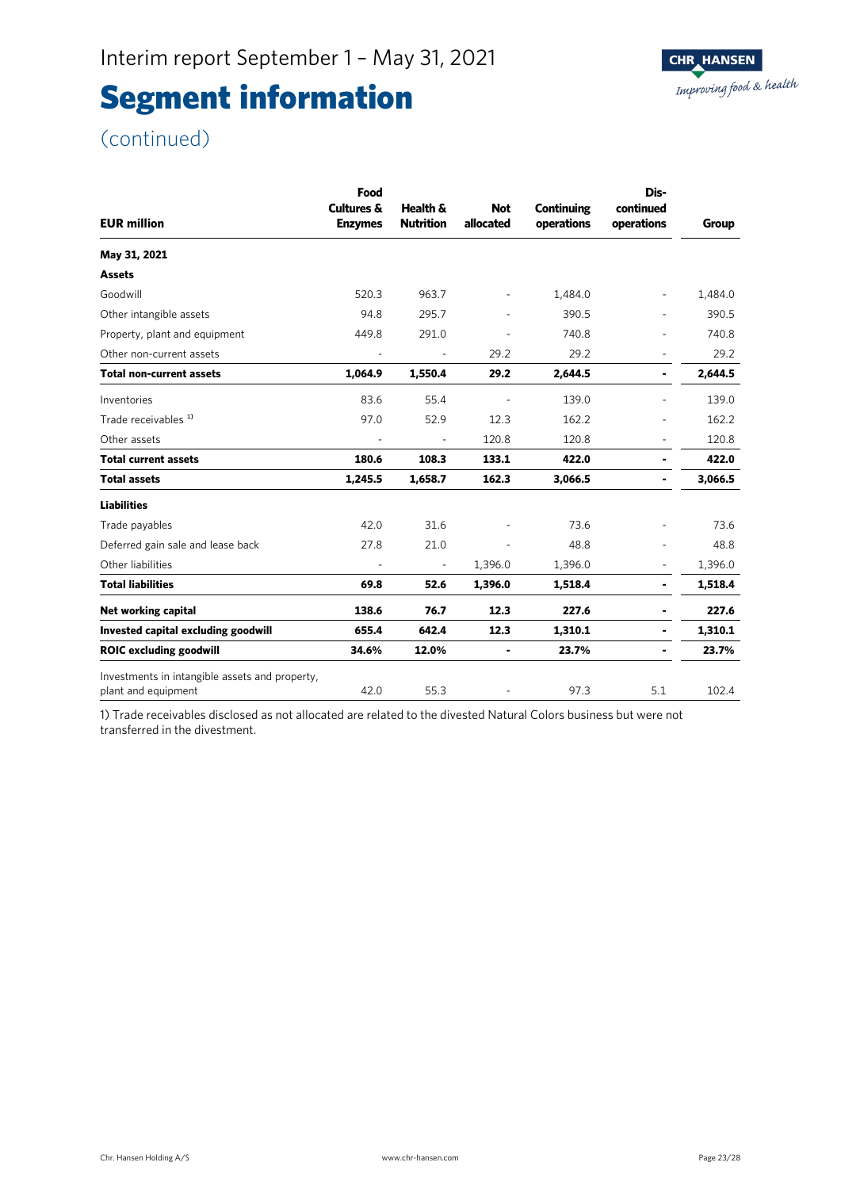(continued)

| <b>EUR million</b>                                                    | Food<br><b>Cultures &amp;</b><br><b>Enzymes</b> | Health &<br><b>Nutrition</b> | <b>Not</b><br>allocated  | Continuing<br>operations | Dis-<br>continued<br>operations | Group   |
|-----------------------------------------------------------------------|-------------------------------------------------|------------------------------|--------------------------|--------------------------|---------------------------------|---------|
| May 31, 2021                                                          |                                                 |                              |                          |                          |                                 |         |
| <b>Assets</b>                                                         |                                                 |                              |                          |                          |                                 |         |
| Goodwill                                                              | 520.3                                           | 963.7                        | $\overline{\phantom{a}}$ | 1,484.0                  | $\overline{\phantom{a}}$        | 1,484.0 |
| Other intangible assets                                               | 94.8                                            | 295.7                        |                          | 390.5                    |                                 | 390.5   |
| Property, plant and equipment                                         | 449.8                                           | 291.0                        |                          | 740.8                    |                                 | 740.8   |
| Other non-current assets                                              |                                                 |                              | 29.2                     | 29.2                     | ä,                              | 29.2    |
| <b>Total non-current assets</b>                                       | 1,064.9                                         | 1,550.4                      | 29.2                     | 2,644.5                  | ۰                               | 2,644.5 |
| Inventories                                                           | 83.6                                            | 55.4                         | $\overline{\phantom{a}}$ | 139.0                    | ä,                              | 139.0   |
| Trade receivables <sup>1)</sup>                                       | 97.0                                            | 52.9                         | 12.3                     | 162.2                    |                                 | 162.2   |
| Other assets                                                          |                                                 |                              | 120.8                    | 120.8                    | ä,                              | 120.8   |
| <b>Total current assets</b>                                           | 180.6                                           | 108.3                        | 133.1                    | 422.0                    | ۰                               | 422.0   |
| <b>Total assets</b>                                                   | 1,245.5                                         | 1,658.7                      | 162.3                    | 3,066.5                  | ۰                               | 3,066.5 |
| <b>Liabilities</b>                                                    |                                                 |                              |                          |                          |                                 |         |
| Trade payables                                                        | 42.0                                            | 31.6                         |                          | 73.6                     |                                 | 73.6    |
| Deferred gain sale and lease back                                     | 27.8                                            | 21.0                         | $\overline{\phantom{a}}$ | 48.8                     | ä,                              | 48.8    |
| Other liabilities                                                     |                                                 | ÷,                           | 1,396.0                  | 1,396.0                  | $\qquad \qquad \blacksquare$    | 1,396.0 |
| <b>Total liabilities</b>                                              | 69.8                                            | 52.6                         | 1,396.0                  | 1,518.4                  | $\blacksquare$                  | 1,518.4 |
| Net working capital                                                   | 138.6                                           | 76.7                         | 12.3                     | 227.6                    | ۰                               | 227.6   |
| Invested capital excluding goodwill                                   | 655.4                                           | 642.4                        | 12.3                     | 1,310.1                  | ۰                               | 1,310.1 |
| <b>ROIC excluding goodwill</b>                                        | 34.6%                                           | 12.0%                        |                          | 23.7%                    | ۰                               | 23.7%   |
| Investments in intangible assets and property,<br>plant and equipment | 42.0                                            | 55.3                         |                          | 97.3                     | 5.1                             | 102.4   |

1) Trade receivables disclosed as not allocated are related to the divested Natural Colors business but were not transferred in the divestment.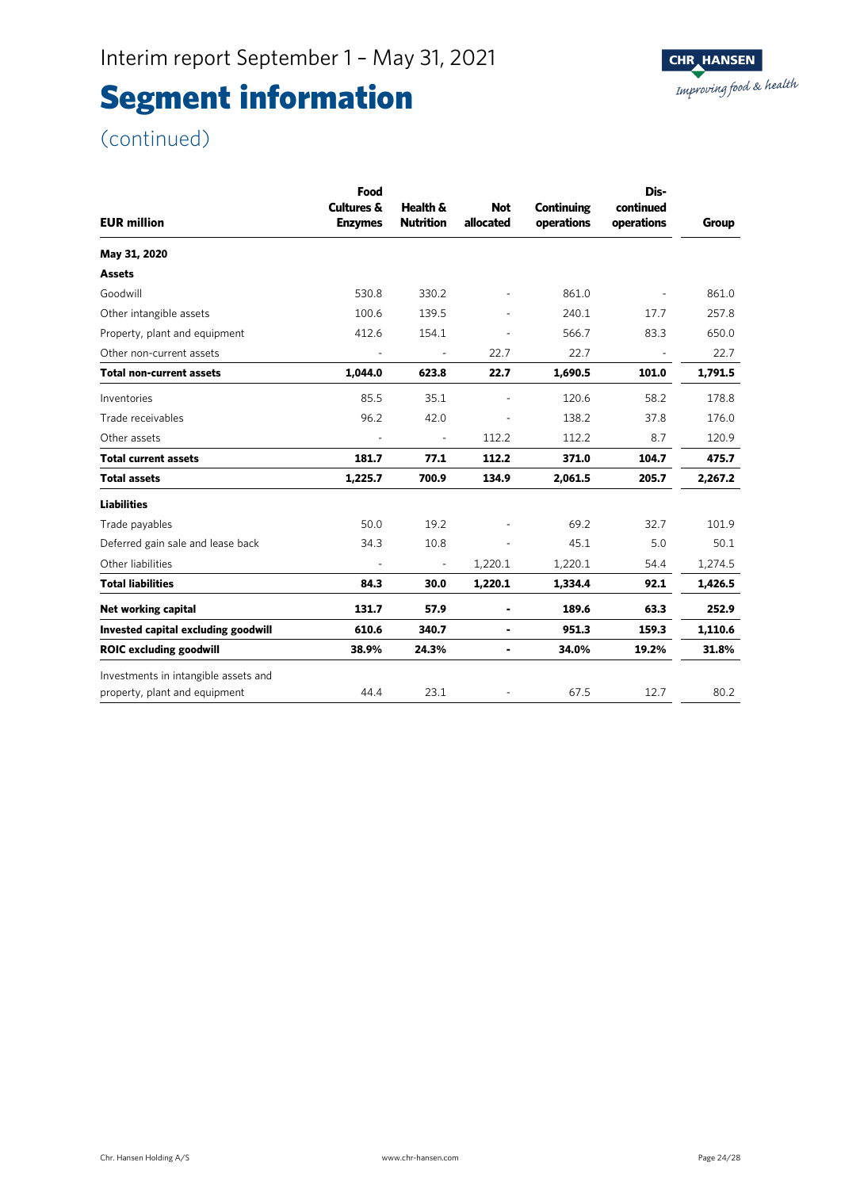(continued)

| Food<br><b>Cultures &amp;</b><br><b>Enzymes</b> | Health &<br><b>Nutrition</b> | <b>Not</b><br>allocated | Continuing<br>operations | Dis-<br>continued<br>operations | <b>Group</b> |
|-------------------------------------------------|------------------------------|-------------------------|--------------------------|---------------------------------|--------------|
|                                                 |                              |                         |                          |                                 |              |
|                                                 |                              |                         |                          |                                 |              |
| 530.8                                           | 330.2                        |                         | 861.0                    |                                 | 861.0        |
| 100.6                                           | 139.5                        |                         | 240.1                    | 17.7                            | 257.8        |
| 412.6                                           | 154.1                        |                         | 566.7                    | 83.3                            | 650.0        |
|                                                 |                              | 22.7                    | 22.7                     |                                 | 22.7         |
| 1,044.0                                         | 623.8                        | 22.7                    | 1,690.5                  | 101.0                           | 1,791.5      |
| 85.5                                            | 35.1                         | $\blacksquare$          | 120.6                    | 58.2                            | 178.8        |
| 96.2                                            | 42.0                         |                         | 138.2                    | 37.8                            | 176.0        |
|                                                 | $\overline{\phantom{a}}$     | 112.2                   | 112.2                    | 8.7                             | 120.9        |
| 181.7                                           | 77.1                         | 112.2                   | 371.0                    | 104.7                           | 475.7        |
| 1,225.7                                         | 700.9                        | 134.9                   | 2,061.5                  | 205.7                           | 2,267.2      |
|                                                 |                              |                         |                          |                                 |              |
| 50.0                                            | 19.2                         |                         | 69.2                     | 32.7                            | 101.9        |
| 34.3                                            | 10.8                         |                         | 45.1                     | 5.0                             | 50.1         |
| $\sim$                                          | $\overline{\phantom{a}}$     | 1,220.1                 | 1,220.1                  | 54.4                            | 1,274.5      |
| 84.3                                            | 30.0                         | 1,220.1                 | 1,334.4                  | 92.1                            | 1,426.5      |
| 131.7                                           | 57.9                         | ٠                       | 189.6                    | 63.3                            | 252.9        |
| 610.6                                           | 340.7                        | $\blacksquare$          | 951.3                    | 159.3                           | 1,110.6      |
| 38.9%                                           | 24.3%                        | ۰                       | 34.0%                    | 19.2%                           | 31.8%        |
| 44.4                                            | 23.1                         |                         | 67.5                     | 12.7                            | 80.2         |
|                                                 |                              |                         |                          |                                 |              |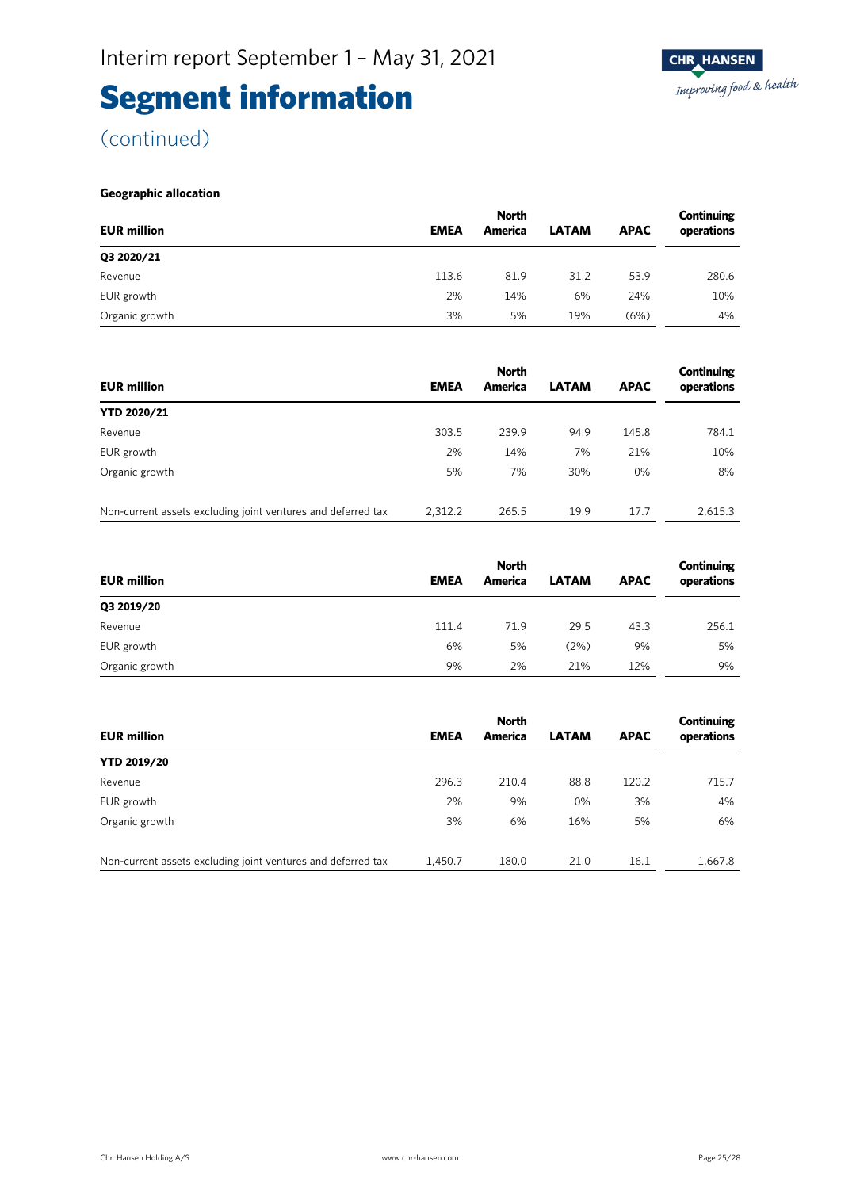(continued)

#### **Geographic allocation**

|                    | <b>North</b> |         |              |             |            |
|--------------------|--------------|---------|--------------|-------------|------------|
| <b>EUR million</b> | <b>EMEA</b>  | America | <b>LATAM</b> | <b>APAC</b> | operations |
| Q3 2020/21         |              |         |              |             |            |
| Revenue            | 113.6        | 81.9    | 31.2         | 53.9        | 280.6      |
| EUR growth         | 2%           | 14%     | 6%           | 24%         | 10%        |
| Organic growth     | 3%           | 5%      | 19%          | (6%)        | 4%         |

|                                                              |             | <b>North</b> | Continuing   |             |            |
|--------------------------------------------------------------|-------------|--------------|--------------|-------------|------------|
| <b>EUR million</b>                                           | <b>EMEA</b> | America      | <b>LATAM</b> | <b>APAC</b> | operations |
| <b>YTD 2020/21</b>                                           |             |              |              |             |            |
| Revenue                                                      | 303.5       | 239.9        | 94.9         | 145.8       | 784.1      |
| EUR growth                                                   | 2%          | 14%          | 7%           | 21%         | 10%        |
| Organic growth                                               | 5%          | 7%           | 30%          | $0\%$       | 8%         |
|                                                              |             |              |              |             |            |
| Non-current assets excluding joint ventures and deferred tax | 2.312.2     | 265.5        | 19.9         | 17.7        | 2.615.3    |

|                    | <b>North</b> |         |              |             |            |
|--------------------|--------------|---------|--------------|-------------|------------|
| <b>EUR million</b> | <b>EMEA</b>  | America | <b>LATAM</b> | <b>APAC</b> | operations |
| Q3 2019/20         |              |         |              |             |            |
| Revenue            | 111.4        | 71.9    | 29.5         | 43.3        | 256.1      |
| EUR growth         | 6%           | 5%      | (2%)         | 9%          | 5%         |
| Organic growth     | 9%           | 2%      | 21%          | 12%         | 9%         |

|                                                              | <b>North</b> |         |              | Continuing  |            |  |
|--------------------------------------------------------------|--------------|---------|--------------|-------------|------------|--|
| <b>EUR million</b>                                           | <b>EMEA</b>  | America | <b>LATAM</b> | <b>APAC</b> | operations |  |
| <b>YTD 2019/20</b>                                           |              |         |              |             |            |  |
| Revenue                                                      | 296.3        | 210.4   | 88.8         | 120.2       | 715.7      |  |
| EUR growth                                                   | 2%           | 9%      | 0%           | 3%          | 4%         |  |
| Organic growth                                               | 3%           | 6%      | 16%          | 5%          | 6%         |  |
| Non-current assets excluding joint ventures and deferred tax | 1.450.7      | 180.0   | 21.0         | 16.1        | 1,667.8    |  |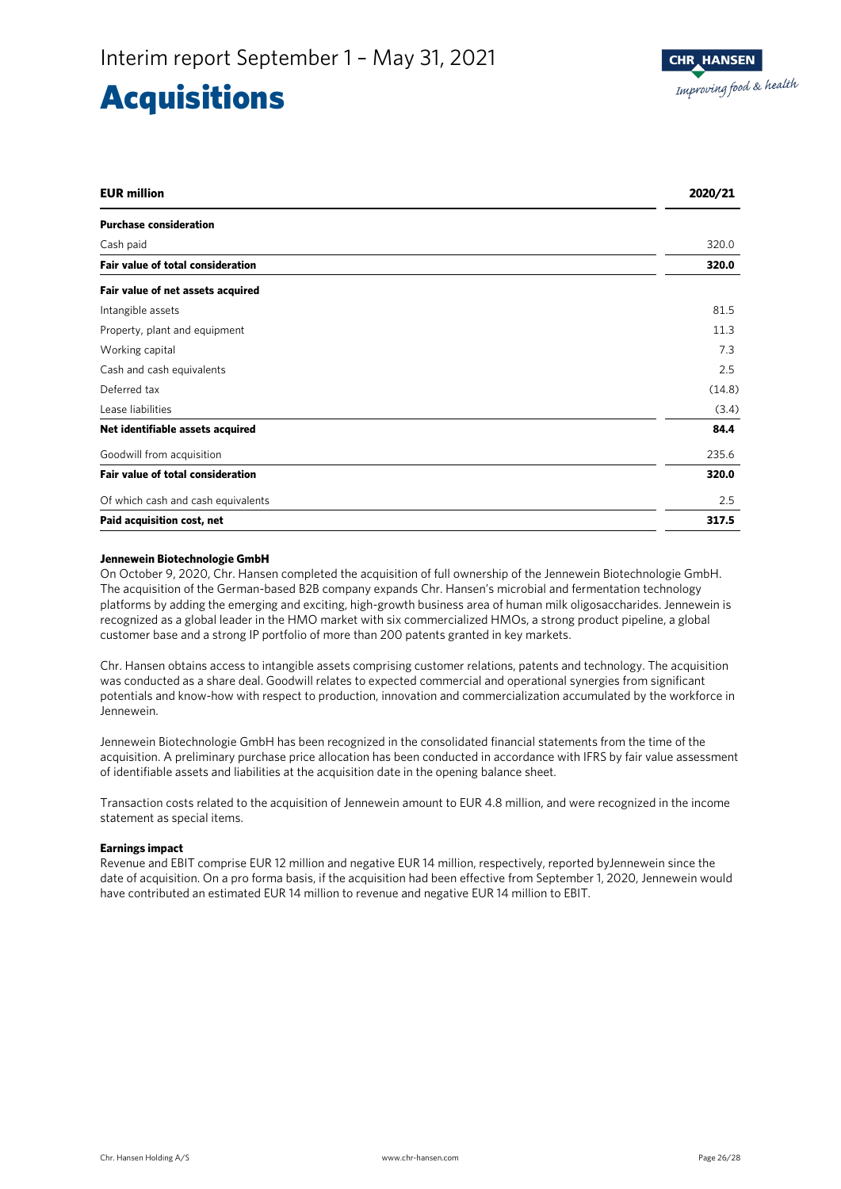### **Acquisitions**

| <b>EUR</b> million                       | 2020/21 |
|------------------------------------------|---------|
| <b>Purchase consideration</b>            |         |
| Cash paid                                | 320.0   |
| Fair value of total consideration        | 320.0   |
| Fair value of net assets acquired        |         |
| Intangible assets                        | 81.5    |
| Property, plant and equipment            | 11.3    |
| Working capital                          | 7.3     |
| Cash and cash equivalents                | 2.5     |
| Deferred tax                             | (14.8)  |
| Lease liabilities                        | (3.4)   |
| Net identifiable assets acquired         | 84.4    |
| Goodwill from acquisition                | 235.6   |
| <b>Fair value of total consideration</b> | 320.0   |
| Of which cash and cash equivalents       | 2.5     |
| Paid acquisition cost, net               | 317.5   |

#### **Jennewein Biotechnologie GmbH**

On October 9, 2020, Chr. Hansen completed the acquisition of full ownership of the Jennewein Biotechnologie GmbH. The acquisition of the German-based B2B company expands Chr. Hansen's microbial and fermentation technology platforms by adding the emerging and exciting, high-growth business area of human milk oligosaccharides. Jennewein is recognized as a global leader in the HMO market with six commercialized HMOs, a strong product pipeline, a global customer base and a strong IP portfolio of more than 200 patents granted in key markets.

Chr. Hansen obtains access to intangible assets comprising customer relations, patents and technology. The acquisition was conducted as a share deal. Goodwill relates to expected commercial and operational synergies from significant potentials and know-how with respect to production, innovation and commercialization accumulated by the workforce in Jennewein.

Jennewein Biotechnologie GmbH has been recognized in the consolidated financial statements from the time of the acquisition. A preliminary purchase price allocation has been conducted in accordance with IFRS by fair value assessment of identifiable assets and liabilities at the acquisition date in the opening balance sheet.

Transaction costs related to the acquisition of Jennewein amount to EUR 4.8 million, and were recognized in the income statement as special items.

#### **Earnings impact**

Revenue and EBIT comprise EUR 12 million and negative EUR 14 million, respectively, reported byJennewein since the date of acquisition. On a pro forma basis, if the acquisition had been effective from September 1, 2020, Jennewein would have contributed an estimated EUR 14 million to revenue and negative EUR 14 million to EBIT.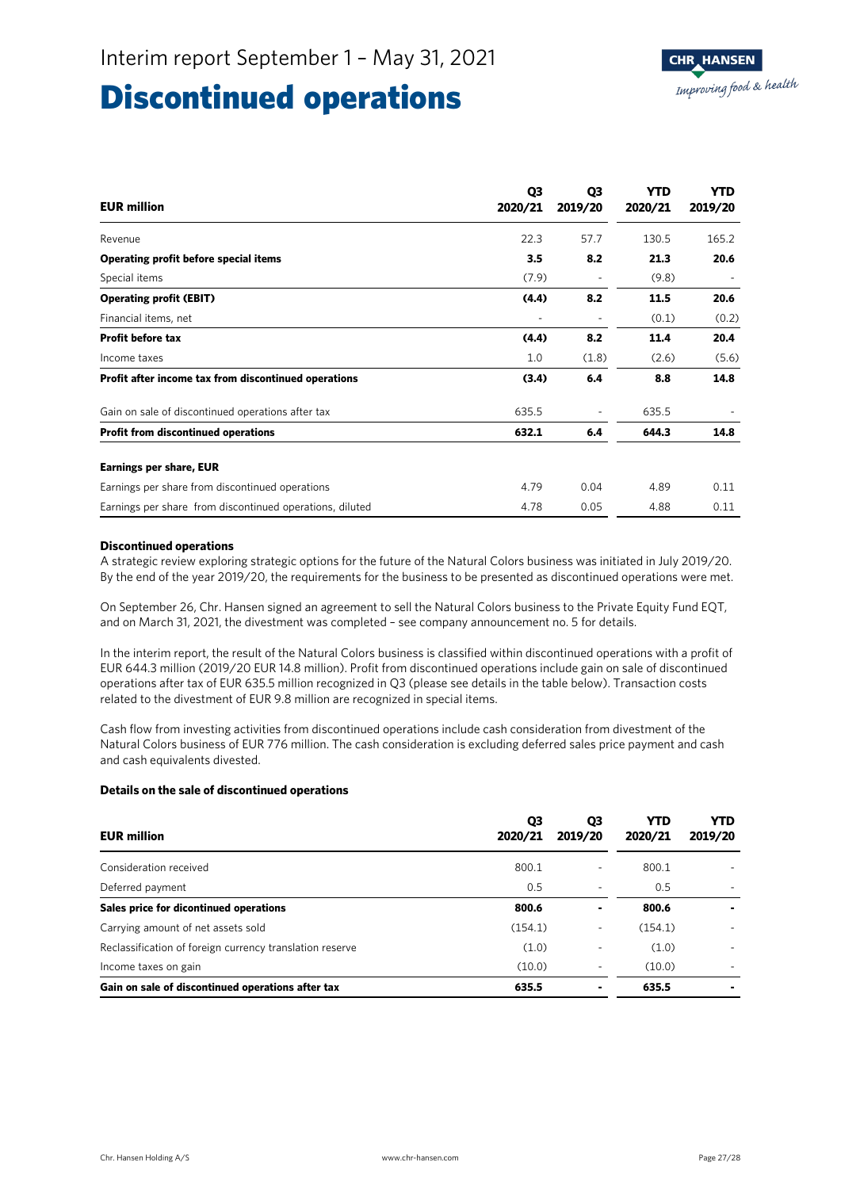### Discontinued operations

| <b>EUR million</b>                                       | Q <sub>3</sub><br>2020/21 | Q3<br>2019/20  | <b>YTD</b><br>2020/21 | <b>YTD</b><br>2019/20 |
|----------------------------------------------------------|---------------------------|----------------|-----------------------|-----------------------|
| Revenue                                                  | 22.3                      | 57.7           | 130.5                 | 165.2                 |
| Operating profit before special items                    | 3.5                       | 8.2            | 21.3                  | 20.6                  |
| Special items                                            | (7.9)                     |                | (9.8)                 |                       |
| <b>Operating profit (EBIT)</b>                           | (4.4)                     | 8.2            | 11.5                  | 20.6                  |
| Financial items, net                                     | ٠                         | $\overline{a}$ | (0.1)                 | (0.2)                 |
| <b>Profit before tax</b>                                 | (4.4)                     | 8.2            | 11.4                  | 20.4                  |
| Income taxes                                             | 1.0                       | (1.8)          | (2.6)                 | (5.6)                 |
| Profit after income tax from discontinued operations     | (3.4)                     | 6.4            | 8.8                   | 14.8                  |
| Gain on sale of discontinued operations after tax        | 635.5                     |                | 635.5                 |                       |
| <b>Profit from discontinued operations</b>               | 632.1                     | 6.4            | 644.3                 | 14.8                  |
| <b>Earnings per share, EUR</b>                           |                           |                |                       |                       |
| Earnings per share from discontinued operations          | 4.79                      | 0.04           | 4.89                  | 0.11                  |
| Earnings per share from discontinued operations, diluted | 4.78                      | 0.05           | 4.88                  | 0.11                  |

#### **Discontinued operations**

A strategic review exploring strategic options for the future of the Natural Colors business was initiated in July 2019/20. By the end of the year 2019/20, the requirements for the business to be presented as discontinued operations were met.

On September 26, Chr. Hansen signed an agreement to sell the Natural Colors business to the Private Equity Fund EQT, and on March 31, 2021, the divestment was completed – see company announcement no. 5 for details.

In the interim report, the result of the Natural Colors business is classified within discontinued operations with a profit of EUR 644.3 million (2019/20 EUR 14.8 million). Profit from discontinued operations include gain on sale of discontinued operations after tax of EUR 635.5 million recognized in Q3 (please see details in the table below). Transaction costs related to the divestment of EUR 9.8 million are recognized in special items.

Cash flow from investing activities from discontinued operations include cash consideration from divestment of the Natural Colors business of EUR 776 million. The cash consideration is excluding deferred sales price payment and cash and cash equivalents divested.

#### **Details on the sale of discontinued operations**

| <b>EUR million</b>                                       | Q3<br>2020/21 | Q3<br>2019/20 | YTD<br>2020/21 | <b>YTD</b><br>2019/20 |
|----------------------------------------------------------|---------------|---------------|----------------|-----------------------|
| Consideration received                                   | 800.1         | ٠             | 800.1          |                       |
| Deferred payment                                         | 0.5           | ٠             | 0.5            |                       |
| Sales price for dicontinued operations                   | 800.6         | ٠             | 800.6          |                       |
| Carrying amount of net assets sold                       | (154.1)       | ٠             | (154.1)        |                       |
| Reclassification of foreign currency translation reserve | (1.0)         | ٠             | (1.0)          |                       |
| Income taxes on gain                                     | (10.0)        |               | (10.0)         |                       |
| Gain on sale of discontinued operations after tax        | 635.5         |               | 635.5          |                       |